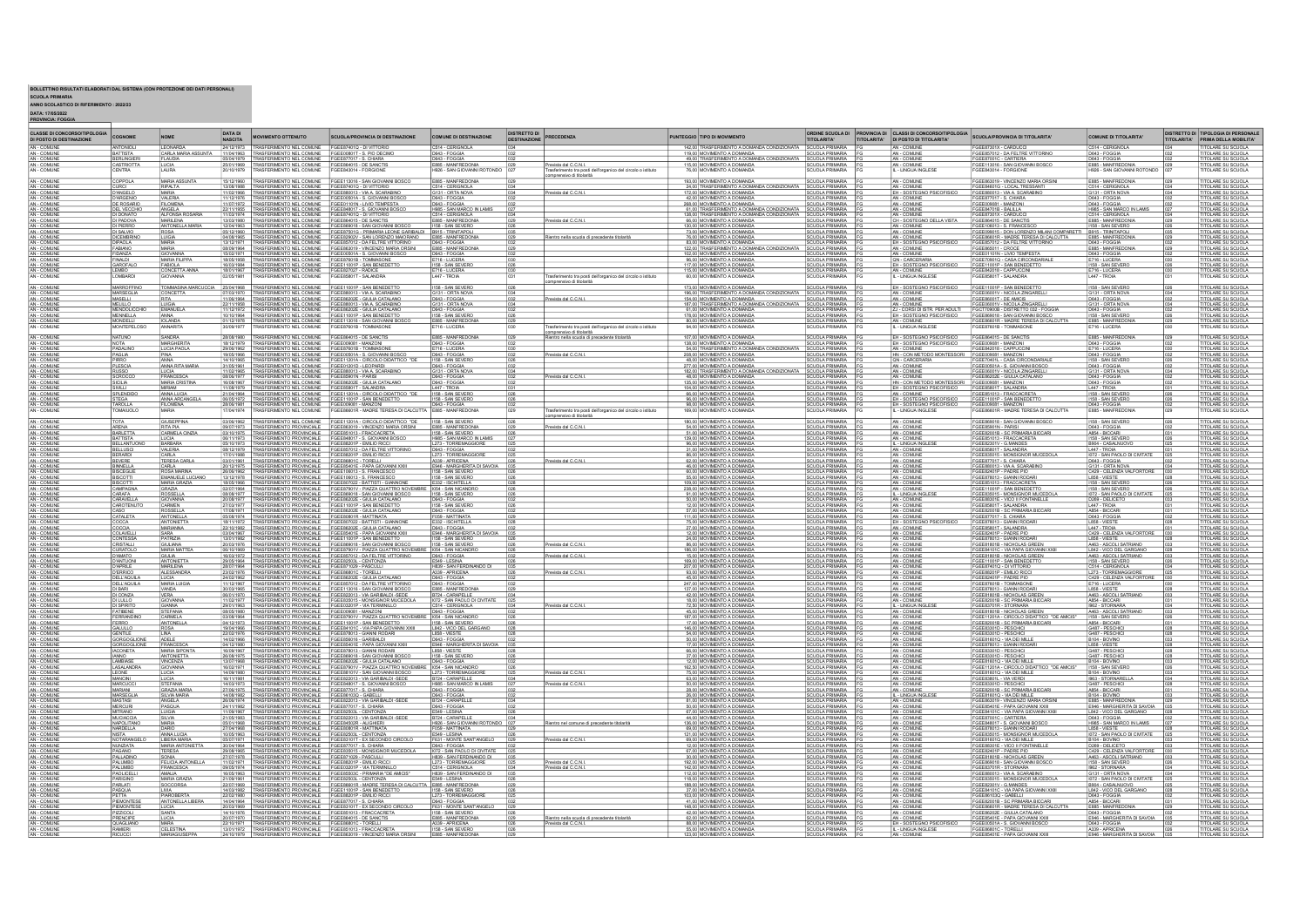BOLLETTINO RISULTATI ELABORATI DAL SISTEMA (CON PROTEZIONE DEI DATI PERSONALI)<br>SCUOLA PRIMARIA<br>ANNO SCOLASTICO DI RIFERIMENTO : 2022/23<br>DATA: 17/05/2022<br>PROVINCIA: FOGGIA

| <b>CLASSE DI CONCORSO/TIPOLOGIA</b><br>DI POSTO DI DESTINAZIONE | COGNOME                                      | <b>NOME</b>                            | <b>DATA DI</b><br><b>NASCITA</b> | <b>MOVIMENTO OTTENUTO</b>                                                                                                                                                                      | <b>SCUOLA/PROVINCIA DI DESTINAZIONE</b>                                                                                                                                               | <b>COMUNE DI DESTINAZIONE</b>                                 | <b>DISTRETTO DI</b><br>DESTINAZIONE | PRECEDENZA                                                                             | PUNTEGGIO TIPO DI MOVIMENTO                                                                                                    | <b>TITOLARITA'</b>                                             | TITOLARITA' | ORDINE SCUOLA DI PROVINCIA DI CLASSI DI CONCORSO/TIPOLOGIA<br>DI POSTO DI TITOLARITA | <b>SCUOLA/PROVINCIA DI TITOLARITA</b>                                                                   | COMUNE DI TITOLARITA'                                                     | <b>ITOLARITA'</b> | DISTRETTO DI TIPOLOGIA DI PERSONAL<br><b>PRIMA DELLA MOBILITA</b> |
|-----------------------------------------------------------------|----------------------------------------------|----------------------------------------|----------------------------------|------------------------------------------------------------------------------------------------------------------------------------------------------------------------------------------------|---------------------------------------------------------------------------------------------------------------------------------------------------------------------------------------|---------------------------------------------------------------|-------------------------------------|----------------------------------------------------------------------------------------|--------------------------------------------------------------------------------------------------------------------------------|----------------------------------------------------------------|-------------|--------------------------------------------------------------------------------------|---------------------------------------------------------------------------------------------------------|---------------------------------------------------------------------------|-------------------|-------------------------------------------------------------------|
| AN - COMUNE<br>AN - COMUNE                                      | <b>ANTONIOL</b>                              | <b>LEONARDA</b>                        |                                  | 24/12/1973 TRASFERIMENTO NEL COMUNE FGEE87401Q - DI VITTORI                                                                                                                                    |                                                                                                                                                                                       | C514 - CERIGNOLA                                              |                                     |                                                                                        | 142,00 TRASFERIMENTO A DOMANDA CONDIZIONATA SCUOLA PRIMARIA                                                                    |                                                                |             | AN - COMUNE                                                                          | FGEE87301X - CARDUCC                                                                                    | C514 - CERIGNOLA                                                          |                   | OLARE SU SCUOLA                                                   |
|                                                                 | BERLINGIERI                                  | CARLA MARIA ASSUNTA<br><b>FLAUDIA</b>  |                                  | 11/04/1963 TRASFERIMENTO NEL COMUNE FGEE00801T - S. PIO DECIMO<br>15/04/1979   TRASFERIMENTO NEL COMUNE FGEE877017 - S. CHIARA                                                                 |                                                                                                                                                                                       | D643 - FOGGIA<br>D643 - FOGGIA                                |                                     |                                                                                        | 119.00 MOVIMENTO A DOMANDA<br>49.00 TRASFERIMENTO A DOMANDA CONDIZIONATA SCUOLA PRIMARIA FI                                    | SCUOLA PRIMARIA F                                              |             | AN - COMUNE<br>AN - COMUNE                                                           | FGEE857012 - DA FELTRE VITTORINO<br>FGEE87001C - CARTIERA                                               | D643 - FOGGIA<br>D643 - FOGGIA                                            |                   | OLARE SU SCUOLA<br>OLARE SU SCUOLA                                |
| AN - COMUNE<br>AN - COMUNE<br>AN - COMUNI                       | CASTRIOTTA                                   | LUCIA<br>LAURA                         | 20/10/1979                       | TRASFERIMENTO NEL COM INF FOFERMO15 - DE SANCTIS<br><b>RASFERIMENTO NEL COMUNE</b>                                                                                                             | GEE843014 - FORGION                                                                                                                                                                   | E885 - MANFREDONIA<br>H926 - SAN GIOVANNI ROTONDI             |                                     | ista dal C.C.N.I<br>sferimento tra posti dell'organico del circolo o istituto          | 115.00 MOVIMENTO A DOMANDA<br>76.00 MOVIMENTO A DOMANDA                                                                        | <b>SCUOLA PRIMARIA</b><br><b>SCUOLA PRIMARIA</b>               |             | AN - COMUNE<br>- LINGUA INGLES                                                       | GEE113016 - SAN GIOVANNI BOSCO<br>GEE843014 - FORGION                                                   | E885 - MANFREDONIA<br>H926 - SAN GIOVANNI RO'                             |                   | TOLARE SU SCUOLA<br>TOLARE SU SCUOLA                              |
|                                                                 |                                              |                                        |                                  |                                                                                                                                                                                                |                                                                                                                                                                                       |                                                               |                                     | nprensivo di titolarità                                                                |                                                                                                                                |                                                                |             |                                                                                      |                                                                                                         |                                                                           |                   |                                                                   |
| AN - COMUNE<br>AN - COMUNE                                      | COPPOLA                                      | MARIA ASSUNTA<br><b>RIPALTA</b>        | 15/12/1960                       | 13/08/1988   TRASFERIMENTO NEL COMUNE   FGEE87401Q - DI VITTORIO                                                                                                                               | TRASFERIMENTO NEL COMUNE FGEE113016 - SAN GIOVANNI BOSCO                                                                                                                              | E885 - MANFREDONIA<br>C514 - CERIGNOLA                        |                                     |                                                                                        | 193.00 MOVIMENTO A DOMANDA<br>24.00 TRASFERIMENTO A DOMANDA CONDIZIONATA SCUOLA PRIMARIA FO                                    | <b>SCUOLA PRIMARIA</b>                                         |             | AN - COMUNE<br>AN - COMUNE                                                           | FGEE863019 - VINCENZO MARIA ORSINI<br>FGEE84601G - LOCAL TRESSANTI                                      | E885 - MANFREDONIA                                                        |                   | OLARE SU SCUOLA<br><b>TOLARE SU SCUOLA</b>                        |
| AN - COMUN                                                      | CURCI<br>D'ANGELO                            |                                        | 11/02/1966                       | TRASFERIMENTO NEL COMUNE FGEE880013 - VIA A SCARABIN                                                                                                                                           |                                                                                                                                                                                       | G131 - ORTA NOVA                                              |                                     | evista dal C.C.N.                                                                      | 172.00 MOVIMENTO A DOMANDA                                                                                                     | SCUOLA PRIMARIA                                                |             | EH - SOSTEGNO PSICOFISIO                                                             | FGEE880013 - VIA A. SCARABINO                                                                           | C514 - CERIGNOLA<br>G131 - ORTA NOVA                                      |                   | OLARE SU SCUOLA                                                   |
| AN - COMUNE<br>AN - COMUNE                                      | D'ARGENIO                                    | <b>VALERIA</b><br>FILOMENA             | 11/12/1976                       | 11/12/1976 TRASFERIMENTO NEL COMUNE FGEE00501A - S. GIOVANNI BOSCI<br>11/07/1972 TRASFERIMENTO NEL COMUNE FGEE01101N - LIVIO TEMPESTA                                                          |                                                                                                                                                                                       | D643 - FOGGIA<br>D643 - FOGGIA                                |                                     |                                                                                        | 42.00 MOVIMENTO A DOMANDA<br>268,00 MOVIMENTO A DOMANDA                                                                        | SCUOLA PRIMARIA FO                                             |             | AN - COMUNE<br>AN - COMUNE                                                           | <b>GEE877017 - S. CHIAR/</b><br>GEE009081 - MANZON                                                      | D643 - FOGGIA                                                             |                   | OLARE SU SCUOLA<br>OLARE SU SCUOLA                                |
| AN - COMUNE<br>AN - COMUNE                                      | DEL VECCHIO<br>DI DONATO                     | ANGELA<br>ALFONSA ROSAR                |                                  | 22/11/1955 TRASFERIMENTO NEL COMUNE FGEE848017 - S. GIOVANNI BOSCO<br>11/03/1974 TRASFERIMENTO NEL COMUNE FGEE87401Q - DI VITTORIO                                                             |                                                                                                                                                                                       | H985 - SAN MARCO IN LAMIS<br>C514 - CERIGNOLA                 |                                     |                                                                                        | 61.00 TRASFERIMENTO A DOMANDA CONDIZIONATA SCUOLA PRIMARIA F<br>138.00 TRASFERIMENTO A DOMANDA CONDIZIONATA SCUOLA PRIMARIA FG |                                                                |             | AN - COMUNE<br>AN - COMUNE                                                           | FGEE84701B - BALILLA<br>FGEE87301X - CARDUCC                                                            | H985 - SAN MARCO IN LAMIS<br>C514 - CERIGNOLA                             |                   | <b>OLARE SU SCUOLA</b><br>TOLARE SU SCUOLA                        |
| AN - COMUNI                                                     | DI PADOVA                                    | <b>MARILENA</b>                        | 13/03/1980                       | TRASFERIMENTO NEL COMUNE FGEE864015 - DE SANCTIS                                                                                                                                               |                                                                                                                                                                                       | E885 - MANFREDONIA                                            |                                     | evista dal C.C.N.I                                                                     | 66,00 MOVIMENTO A DOMANDA                                                                                                      | SCUOLA PRIMARIA F                                              |             | CH - SOSTEGNO DELLA VISTA                                                            | FGEE864015 - DE SANCTI                                                                                  | E885 - MANFREDON                                                          |                   | OLARE SU SCUOLA                                                   |
| AN - COMUNE<br>AN - COMUNE                                      | DI PIERRO<br>DI SALVIO                       | ANTONELLA MAI                          | 05/12/1960                       | TRASFERIMENTO NEL COMUNE FGEE869018 - SAN GIOVANNI BOS<br>TRASFERIMENTO NEL COMUNE FGEE87501G - PRIMARIA LEONE C                                                                               | IMARIA LEONE GARIBALD                                                                                                                                                                 | 1158 - SAN SEVERO<br>B915 - TRINITAPOL                        |                                     |                                                                                        | 130.00 MOVIMENTO A DOMANDA<br>73,00 MOVIMENTO A DOMANDA                                                                        | SCUOLA PRIMARIA FO<br>SCUOLA PRIMARIA FO                       |             | AN - COMUNE<br>AN - COMUNE                                                           | FGEE106013 - S. FRANCESCO<br>FGEE099015 - DON LORENZO MILANI COMPARET                                   | 1158 - SAN SEVERO<br>B915 - TRINITAPOL                                    |                   | OLARE SU SCUOLA<br>OLARE SU SCUOLA                                |
| AN - COMUNE                                                     | <b>DICEMBRINO</b>                            | LUIGIA                                 |                                  |                                                                                                                                                                                                | 04/08/1985   TRASFERIMENTO NEL COMUNE   FGEE82902V - SAN LORENZO MAIORANO                                                                                                             | E885 - MANFREDONIA                                            |                                     | ientro nella scuola di precedente titolarità                                           | 76.00 MOVIMENTO A DOMANDA                                                                                                      | SCUOLA PRIMARIA FI                                             |             | AN - COMUNE                                                                          | FGEE86601R - MADRE TERESA DI CALCUTTA                                                                   | E885 - MANFREDONI                                                         |                   | <b>ITOLARE SU SCUOLA</b>                                          |
| AN - COMUNE<br>AN - COMUNE                                      | DIPAOLA<br>FABIANO                           | MARIA<br>MARIA                         |                                  |                                                                                                                                                                                                | 13/12/1971 TRASFERIMENTO NEL COMUNE FGEE857012 - DA FELTRE VITTORINO<br>08/09/1964 TRASFERIMENTO NEL COMUNE FGEE863019 - VINCENZO MARIA ORSINI                                        | D643 - FOGGIA<br>E885 - MANFREDONIA                           |                                     |                                                                                        | 83.00 MOVIMENTO A DOMANDA SCUOLA PRIMARIA FG<br>122,00 TRASFERIMENTO A DOMANDA CONDIZIONATA SCUOLA PRIMARIA FG                 |                                                                |             | EH - SOSTEGNO PSICOFISICO                                                            | GEE857012 - DA FELTRE VITTORINO<br>FGEE865011 - CROCE                                                   | D643 - FOGGIA                                                             |                   | TOLARE SU SCUOLA<br>TOLARE SU SCUOLA                              |
| AN - COMUNE                                                     | FIDANZA<br>FINALDI<br>GAROFALO               | GIOVANNA<br>MARIA FILIPPA              |                                  | 15/02/1971 TRASFERMENTO NEL COMUNE FGEED0501A - S. GIOVANNI BOSCO<br>18/05/1958 TRASFERMENTO NEL COMUNE FGEED701B - TOMMASONE<br>18/03/1984 TRASFERMENTO NEL COMUNE FGEE11001P - SAN BENEDETTO |                                                                                                                                                                                       | D643 - FOGGIA                                                 |                                     |                                                                                        | 102.00 MOVIMENTO A DOMANDA                                                                                                     | SCUOLA PRIMARIA FI<br>SCUOLA PRIMARIA FI                       |             | AN - COMUNE<br>QN - CARCERAR                                                         | FGEE01101N - LIVIO TEMPESTA<br>FGEE70901Q - CASA CIRCONDARIALE<br>FGEE11001P - SAN BENEDETTO            | D643 - FOGGIA<br>E716 - LUCERA                                            |                   | OLARE SU SCUOLA                                                   |
|                                                                 |                                              | <b>FABIOLA</b>                         |                                  |                                                                                                                                                                                                |                                                                                                                                                                                       | I158 - SAN SEVERO                                             |                                     |                                                                                        | 117,00 MOVIMENTO A DOMANDA                                                                                                     | SCUOLA PRIMARIA FO                                             |             | EH - SOSTEGNO PSICOFISICO                                                            |                                                                                                         | 1158 - SAN SEVERC                                                         |                   | TOLARE SU SCUOLA                                                  |
| AN - COMUNE<br>AN - COMUNE<br>AN - COMUNE                       | LEMBO<br>LOMBARDI                            | CONCETTA ANN                           | 18/01/1967<br>02/05/1981         | TRASFERIMENTO NEL COMUNE FGEE827027 - RADICE<br>TRASFERIMENTO NEL COMUNE FGEE85801T - SALANDRA                                                                                                 |                                                                                                                                                                                       | E716 - LUCERA<br>L447 - TROIA                                 |                                     | erimento tra posti dell'organico del circolo o istitut                                 | 115.00 MOVIMENTO A DOMAND.<br>60,00 MOVIMENTO A DOMAND.                                                                        | SCUOLA PRIMARIA FG<br>SCUOLA PRIMARIA FG                       |             | AN - COMUNE<br>L - LINGUA INGLESE                                                    | FGEE842018 - CAPPUCCINI<br>FGEE85801T - SALANDRA                                                        | E716 - LUCERA<br>L447 - TROIA                                             |                   | <b>TOLARE SU SCUOLA</b><br>TOLARE SU SCUOLA                       |
| AN - COMUNE                                                     | <b>MARROFFINO</b>                            | OMMASINA MAR                           | 25/04/1968                       | TRASEERIMENTO NEL COMUNE                                                                                                                                                                       | FGEE11001P - SAN BENEDET                                                                                                                                                              |                                                               |                                     | prensivo di titolarità                                                                 | 173,00 MOVIMENTO A DOMANDA                                                                                                     | CLIOLA PRIMARIA                                                |             | <b>EH - SOSTEGNO PSICOFISIO</b>                                                      | GEE11001P - SAN BENEDETT                                                                                |                                                                           |                   | <b>OLARE SU SCUOL</b>                                             |
| AN - COMUNE                                                     | MARSEGLIA                                    | CONCETTA                               |                                  | 7/03/1970   TRASFERIMENTO NEL COMUNE   FGEE880013 - VIA A SCARABIN                                                                                                                             |                                                                                                                                                                                       | 1158 - SAN SEVERO<br>G131 - ORTA NOVA                         |                                     |                                                                                        | 196,00 TRASFERIMENTO A DOMANDA CONDIZIONATA                                                                                    | SCUOLA PRIMARIA F                                              |             | AN - COMUNE                                                                          | GEE06001V - NICOLA ZINGAREL                                                                             | 1158 - SAN SEVERO<br>G131 - ORTA NOVA                                     |                   | OLARE SU SCUOLA                                                   |
| AN - COMUNE<br>AN - COMUNE                                      | MASELLI                                      | <b>RITA</b>                            | 1/06/1964                        | TRASFERIMENTO NEL COMUNE FGEEB6202E - GIULIA CATALANO<br>TRASFERIMENTO NEL COMUNE FGEEB80013 - VIA A. SCARABINO                                                                                |                                                                                                                                                                                       | D643 - FOGGIA<br>G131 - ORTA NOVA                             |                                     | evista dal C.C.N.I.                                                                    | 154.00 MOVIMENTO A DOMANDA<br>187,00 TRASFERIMENTO A DOMANDA CONDIZIONATA                                                      | SCUOLA PRIMARIA F                                              |             | AN - COMUNE                                                                          | FGEE86001T - DE AMICIS<br>FGEE86001T - DE AMICIS<br>FGEE06001V - NICOLA ZINGARE                         | D643 - FOGGIA<br>G131 - ORTA NOVA                                         |                   | TOLARE SU SCUOLA                                                  |
| AN - COMUNE<br>AN - COMUNE                                      | MENDOLICCHIO<br>MENNELLA                     | EMANUELA<br><b>ANNA</b>                |                                  | 11/12/1972 TRASFERIMENTO NEL COMUNE FGEE86202E - GIULIA CATALANO<br>10/10/1964 TRASFERIMENTO NEL COMUNE FGEE11001P - SAN BENEDETTO                                                             |                                                                                                                                                                                       | D643 - FOGGIA<br>1158 - SAN SEVERO                            |                                     |                                                                                        | 61.00 MOVIMENTO A DOMANDA<br>178,00 MOVIMENTO A DOMANDA                                                                        | SCUOLA PRIMARIA FG<br>SCUOLA PRIMARIA FG                       |             | ZJ - CORSI DI ISTR. PER ADULTI<br>EH - SOSTEGNO PSICOFISICO                          | FGCT70900B - DISTRETTO 032 - FOGGIA<br>FGEE869018 - SAN GIOVANNI BOSCO                                  | D643 - FOGGIA<br>1158 - SAN SEVERO                                        |                   | <u>TOLARE SU SCUOLA</u><br>TOLARE SU SCUOLA                       |
| AN - COMUNI                                                     | MONDELLI                                     | <b>IOLANDA</b>                         |                                  | 01/12/1978 TRASFERIMENTO NEL COMUNE FGEE113016 - SAN GIOVANNI BOS                                                                                                                              |                                                                                                                                                                                       | E885 - MANFREDON                                              |                                     |                                                                                        | 80,00 MOVIMENTO A DOMANDA                                                                                                      | SCUOLA PRIMARIA FG                                             |             | AN - COMUNE                                                                          | GEE86601R - MADRE TERESA DI CALCU                                                                       | E885 - MANFREDON                                                          |                   | OLARE SU SCUOLA                                                   |
| AN - COMUNE                                                     | <b>MONTEPELOS0</b>                           | <b>ANNARITA</b>                        | 30/09/1977                       | TRASFERIMENTO NEL COMUNE FGEE87601B - TOMMASONE                                                                                                                                                |                                                                                                                                                                                       | E716 - LUCERA                                                 |                                     | asferimento tra posti dell'organico del circolo o istituto<br>omprensivo di titolarità | 94.00 MOVIMENTO A DOMANDA                                                                                                      | SCUOLA PRIMARIA                                                |             | L - LINGUA INGLESE                                                                   | FGEE87601B - TOMMASONE                                                                                  | E716 - LUCERA                                                             |                   | <b>ITOLARE SU SCUOLA</b>                                          |
| AN - COMUNE<br>AN - COMUNE                                      | NATUNO                                       | SANDRA<br>MARGHERITA                   |                                  | 28/08/1980 TRASFERIMENTO NEL COMUNE FGEE864015 - DE SANCTIS<br>18/12/1979 TRASFERIMENTO NEL COMUNE FGEE009081 - MANZONI                                                                        |                                                                                                                                                                                       | E885 - MANFREDONIA                                            |                                     | Rientro nella scuola di precedente titolarità                                          | 107.00 MOVIMENTO A DOMANDA                                                                                                     | SCUOLA PRIMARIA FG                                             |             | EH - SOSTEGNO PSICOFISICO                                                            | FGEE864015 - DE SANCTIS                                                                                 | E885 - MANFREDONIA                                                        |                   | <b>OLARE SU SCUOLA</b>                                            |
| COMUN                                                           | PADALINO                                     | LUCIA PAOLA                            | 29/06/1962                       | TRASFERIMENTO NEL COMUNE FGEE87601B - TOMMASON                                                                                                                                                 |                                                                                                                                                                                       | E716 - LUCERA                                                 |                                     |                                                                                        | 138.00 MOVIMENTO A DOMANDA<br>54,00 TRASFERIMENTO A DOMANDA CONDIZIONATA                                                       | SCUOLA PRIMARIA                                                |             | AN - COMUNE                                                                          | FGEE009081 - MANZON<br>SEE842018 - CAPPUCCINI                                                           | E716 - LUCERA                                                             |                   | OLARE SU SCUOLA<br><b>DLARE SU SCUOLA</b>                         |
| AN - COMUNE<br>AN - COMUNE                                      | PAGLIA                                       | <b>PINA</b>                            | 19/05/1966                       | TRASFERIMENTO NEL COMUNE FGEE00501A - S. GIOVANNI BOS                                                                                                                                          |                                                                                                                                                                                       | D643 - FOGGIA                                                 |                                     | revista dal C.C.N.                                                                     | 208.00 MOVIMENTO A DOMANDA                                                                                                     | SCUOLA PRIMARIA FI                                             |             | HN - CON METODO MONTESSORI                                                           | GEE009081 - MANZONI                                                                                     | D643 - FOGGIA                                                             |                   | OLARE SU SCUOLA                                                   |
| AN - COMUNE<br>AN - COMUNE                                      | PLESCIA                                      | ANNA<br>ANNA RITA MARIA                | 14/10/1965<br>31/05/1961         | 31/05/1981 TRASFERIMENTO NEL COMUNE FGEE01201D - LEOPARDI<br>11/02/1985 TRASFERIMENTO NEL COMUNE FGEE880013 - VIA A SCARABINO                                                                  | TRASFERIMENTO NEL COMUNE FGEE11201A - CIRCOLO DIDATTICO                                                                                                                               | I158 - SAN SEVER<br>D643 - FOGGIA<br>G131 - ORTA NOVA         |                                     |                                                                                        | 48.00 MOVIMENTO A DOMANDA<br>277.00 MOVIMENTO A DOMANDA<br>182,00 TRASFERIMENTO A DOMANDA CONDIZIONATA                         | <b>SCUOLA PRIMARIA</b><br>SCUOLA PRIMARIA FO                   |             | ON - CARCERARIA<br>AN - COMUNE<br>AN - COMUNE                                        | GEE70401L - CASA CIRCONDARIALE<br>-<br>GEE00501A - S. GIOVANNI BOSCO<br>- GEE06001V - NICOLA ZINGARELLI | 1158 - SAN SEVERO<br>D643 - FOGGIA                                        |                   | OLARE SU SCUOLA<br>TOLARE SU SCUOLA                               |
| COMUN                                                           | SCROCCO                                      | LUCIA<br>FRANCESC                      | 08/06/1977                       | TRASFERIMENTO NEL COMUNE FGEE85901N - PARIS                                                                                                                                                    |                                                                                                                                                                                       | D643 - FOGGIA                                                 |                                     | evista dal C.C.N.I                                                                     | 48,00 MOVIMENTO A DOMANDA                                                                                                      | SCUOLA PRIMARIA                                                |             | AN - COMUNE                                                                          | GEE86202E - GIULIA CATALANO                                                                             | D643 - FOGGIA                                                             |                   | OLARE SU SCUOLA                                                   |
| AN - COMUNE<br>AN - COMUNE                                      | <b>SICILIA</b>                               | <b>MARIA CRISTINA</b>                  | 16/08/1967                       | 16/08/1967 TRASFERIMENTO NEL COMUNE FGEE86202E - GIULIA CATALANO<br>11/08/1979 TRASFERIMENTO NEL COMUNE FGEE85801T - SALANDRA                                                                  |                                                                                                                                                                                       | D643 - FOGGIA<br>L447 - TROIA                                 |                                     |                                                                                        | 135.00 MOVIMENTO A DOMANDA                                                                                                     | SCUOLA PRIMARIA FO                                             |             | HN - CON METODO MONTESSORI FGEE009081 - MANZONI                                      |                                                                                                         | D643 - FOGGIA<br>L447 - TROIA                                             |                   | OLARE SU SCUOLA                                                   |
|                                                                 | SIVILLI<br>SPLENDIDO                         | MIRIAM                                 |                                  |                                                                                                                                                                                                |                                                                                                                                                                                       |                                                               |                                     |                                                                                        | 104.00 MOVIMENTO A DOMANDA                                                                                                     | SCUOLA PRIMARIA F                                              |             | EH - SOSTEGNO PSICOFISICO                                                            | GEE85801T - SALANDRA                                                                                    |                                                                           |                   | OLARE SU SCUOLA                                                   |
| AN - COMUNE<br>AN - COMUNE                                      |                                              | ANNA LUCIA<br>ANNA ARCANGEL            |                                  |                                                                                                                                                                                                | 2104/1984 TRASFERIMENTO NEL COMUNE FGEE11201A - CIRCOLO DIDATTICO *DE<br>2104/1984 TRASFERIMENTO NEL COMUNE FGEE11201A - CIRCOLO DIDATTICO *DE                                        | 1158 - SAN SEVERO<br>1158 - SAN SEVERO<br>D643 - FOGGIA       |                                     |                                                                                        | 66.00 MOVIMENTO A DOMANDA<br>96,00 MOVIMENTO A DOMANDA<br>98.00 MOVIMENTO A DOMANDA                                            | SCUOLA PRIMARIA FO                                             |             | AN - COMUNE<br>EH - SOSTEGNO PSICOFISICO<br>EH - SOSTEGNO PSICOFISICO                | FGEE851013 - FRACCACRETA<br>FGEE11001P - SAN BENEDETTO<br>FGEE009081 - MANZON                           | 1158 - SAN SEVERO<br>D643 - FOGGIA                                        |                   | OLARE SU SCUOLA                                                   |
| AN - COMUNE<br>N - COMUNI                                       | TAROLLA<br><b>DMAILIOLO</b>                  | <b>FILOMENA</b>                        |                                  |                                                                                                                                                                                                | 28/06/1981 TRASFERIMENTO NEL COMUNE FGEE009081 - MANZONI<br>17/04/1974 TRASFERIMENTO NEL COMUNE FGEE86601R - MADRE TERESA DI CALCUTTA                                                 | E885 - MANFREDONIA                                            |                                     | ento tra posti dell'organico del circolo o istitu                                      | 169,00 MOVIMENTO A DOMANI                                                                                                      | SCUOLA PRIMARIA FG<br><b>SCUOLA PRIMARIA</b>                   |             |                                                                                      | SEE86601R - MADRE TERESA DI CALCUTTA                                                                    | E885 - MANFREDON                                                          |                   | <b><i>TOLARE SU SCUOLA</i></b>                                    |
| AN - COMUNE                                                     |                                              | <b>GIUSEPPINA</b>                      |                                  |                                                                                                                                                                                                | 03/06/1962   TRASFERIMENTO NEL COMUNE   FGEE11201A - CIRCOLO DIDATTICO *DE                                                                                                            | 1158 - SAN SEVERO                                             |                                     | mprensivo di titolarità                                                                | 180.00 MOVIMENTO A DOMANDA                                                                                                     | SCUOLA PRIMARIA FO                                             |             | AN - COMUNE                                                                          | FGEE869018 - SAN GIOVANNI BOSCO                                                                         | 1158 - SAN SEVERO                                                         |                   | OLARE SU SCUOLA                                                   |
| AN - COMUNE                                                     | ARENA                                        | <b>RITA PIA</b>                        |                                  |                                                                                                                                                                                                | 09/07/1973 TRASFERIMENTO PROVINCIALE FGEE863019 - VINCENZO MARIA ORSINI<br>03/10/1975 TRASFERIMENTO PROVINCIALE FGEE851013 - FRACCACRETA                                              | E885 - MANEREDONIA                                            |                                     | revista dal C.C.N.                                                                     | 54.00 MOVIMENTO A DOMANDA                                                                                                      | SCUOLA PRIMARIA FG                                             |             | AN - COMUNE                                                                          | FGEE85901N - PARISI                                                                                     | D643 - FOGGIA                                                             |                   | <b>ITOLARE SU SCUOLA</b>                                          |
| AN - COMUNE                                                     | BARLETTA                                     | CARMELA CINZI                          |                                  |                                                                                                                                                                                                |                                                                                                                                                                                       | 1158 - SAN SEVERO                                             |                                     |                                                                                        | 51.00 MOVIMENTO A DOMANDA                                                                                                      | SCUOLA PRIMARIA FO                                             |             | AN - COMUNE                                                                          | FGEE82001B - SC PRIMARIA BICCAR                                                                         | A854 - BICCARI                                                            |                   | TOLARE SU SCUOLA                                                  |
| AN - COMUNE                                                     | BATTISTA<br><b>BELLUSCI</b>                  | LUCIA<br>BARBARA<br>VALERIA            | 05/10/1973                       | TRASFERIMENTO PROVINCIALE FGEE848017 - S. GIOVANNI BOSCO<br>TRASFERIMENTO PROVINCIALE FGEE88201P - EMILIO RICCI                                                                                |                                                                                                                                                                                       | H985 - SAN MARCO IN LAMIS<br>D643 - FOGGIA                    |                                     |                                                                                        | 139.00 MOVIMENTO A DOMANDA<br>96,00 MOVIMENTO A DOMANDA<br>31.00 MOVIMENTO A DOMANDA                                           | SCUOLA PRIMARIA FO<br>SCUOLA PRIMARIA F                        |             | AN - COMUNE<br>L - LINGUA INGLESS<br>AN - COMUNE                                     | FGEE851013 - FRACCACRETA<br>FGEE82301V - G.MANDES<br>FGEE85801T - SALANDRA                              | 1158 - SAN SEVERO<br>L447 - TROIA                                         |                   | TOLARE SU SCUOLA<br><b><i>OLARE SU SCUOLA</i></b>                 |
| AN - COMUNI<br>AN - COMUNE<br>AN - COMUNE                       | BERARDI                                      | CARLA<br>TERESA CARLA                  |                                  | 37/01/1988 TRASFERIMENTO PROVINCIALE FGEE88201P - EMILIO RICCI<br>03/01/1981 TRASFERIMENTO PROVINCIALE FGEE88201C - TORELLI                                                                    | 08/12/1979   TRASFERIMENTO PROVINCIALE   FGEE857012 - DA FELTRE VITTORING                                                                                                             | L273 - TORREMAGGIORE<br>A339 - APRICENA                       |                                     |                                                                                        | 86.00 MOVIMENTO A DOMANDA                                                                                                      | SCUOLA PRIMARIA FG                                             |             | AN - COMUNE<br>AN - COMUNE                                                           | FGEE835015 - MONSIGNOR MUCEDOLA                                                                         | 1072 - SAN PAOLO DI CIVITATE                                              |                   | <b>TOLARE SU SCUOLA</b>                                           |
|                                                                 | BEVERE                                       |                                        |                                  |                                                                                                                                                                                                |                                                                                                                                                                                       |                                                               |                                     | revista dal C.C.N.I                                                                    | 62,00 MOVIMENTO A DOMANDA                                                                                                      | SCUOLA PRIMARIA FO                                             |             |                                                                                      | FGEE877017 - S. CHIARA                                                                                  | D643 - FOGGIA                                                             |                   | TOLARE SU SCUOLA                                                  |
| AN - COMUNE<br>AN - COMUNE                                      | <b>BINNELLA</b><br>BISCEGLIE                 | CARLA<br>ROSA MARINA                   | 20/12/1975<br>26/06/1962         | TRASFERIMENTO PROVINCIALE FGEE85401E - PAPA GIOVANNI XXIII<br>TRASFERIMENTO PROVINCIALE FGEE106013 - S. FRANCESCO                                                                              |                                                                                                                                                                                       | E946 - MARGHERITA DI SAVOIA 035                               |                                     |                                                                                        | 46.00 MOVIMENTO A DOMANDA<br>60,00 MOVIMENTO A DOMANDA                                                                         | SCUOLA PRIMARIA FO                                             |             | AN - COMUNE<br>AN - COMUNE                                                           | FGEE880013 - VIA A. SCARABINO<br>FGEE82401P - PADRE PIO                                                 | G131 - ORTA NOVA<br>C429 - CELENZA VALFORTORE                             |                   | <b>TOLARE SU SCUOLA</b><br>FOLARE SU SCUOLA                       |
| AN - COMUNE                                                     | <b>BISCOTT</b><br>BISCOTTI                   | <b>EMANUELE LUCIANC</b>                |                                  | 13/12/1978 TRASFERIMENTO PROVINCIALE FGEE106013 - S. FRANCESCO                                                                                                                                 |                                                                                                                                                                                       | 1158 - SAN SEVERO                                             |                                     |                                                                                        | 55.00 MOVIMENTO A DOMANDA                                                                                                      | SCUOLA PRIMARIA FO                                             |             | AN - COMUNE                                                                          | FGEE878013 - GIANNI RODAR                                                                               | L858 - VIESTE                                                             |                   | TOLARE SU SCUOLA                                                  |
| AN - COMUNE                                                     |                                              | MARIA GRAZIA<br>ROSSELLA               | 08/08/1977                       |                                                                                                                                                                                                | 1806/1986 TRASFERIMENTO PROVINCIALE FGEE807022 - BATTISTI - GMNNONE ESS2 - ISCHITELLA<br>02/07/1984 TRASFERIMENTO PROVINCIALE FGEE87901V - PIAZZA QUATTRO NOVEMBRE 1054 - SAN NICANDR |                                                               |                                     |                                                                                        | 109.00 MOVIMENTO A DOMANDA<br>238,00 MOVIMENTO A DOMANDA<br>91.00 MOVIMENTO A DOMANDA                                          | SCUOLA PRIMARIA FO                                             |             | AN - COMUNE                                                                          | FGEE851013 - FRACCACRETA<br>FGEE835015 - MONSIGNOR MUCEDOLA                                             | 1158 - SAN SEVERO                                                         |                   | TOLARE SU SCUOLA<br>TOLARE SU SCUOLA<br><b>OLARE SU SCUOLA</b>    |
| AN - COMUNE<br>AN - COMUNE                                      | CARAFA                                       | <b>IOVANN</b>                          |                                  |                                                                                                                                                                                                | TRASFERIMENTO PROVINCIALE FGEE869018 - SAN GIOVANNI BOSCO<br>TRASFERIMENTO PROVINCIALE FGEE86202E - GIULIA CATALANO                                                                   | 1158 - SAN SEVERO<br>D643 - FOGGIA                            |                                     |                                                                                        | 50.00 MOVIMENTO A DOMAND                                                                                                       | SCUOLA PRIMARIA FO                                             |             | L - LINGUA INGLESS                                                                   | GEE88301E - VICO II FONTANELLI                                                                          | 1072 - SAN PAOLO DI CIVITAT<br>D269 - DELICETO                            |                   | <b>DLARE SU SCUOL</b>                                             |
| AN - COMUNE                                                     | CAROTENUTO                                   | CARMEN<br>ROSSELLA                     | 17/08/1971                       | 27/03/1977   TRASFERIMENTO PROVINCIALE   FGEE11001P - SAN BENEDETTO                                                                                                                            |                                                                                                                                                                                       | I158 - SAN SEVERO                                             |                                     |                                                                                        | 12.00 MOVIMENTO A DOMANDA<br>57.00 MOVIMENTO A DOMANDA                                                                         | SCUOLA PRIMARIA FO                                             |             | AN - COMUNE                                                                          | FGEE85801T - SALANDRA                                                                                   | L447 - TROIA                                                              |                   | TOLARE SU SCUOLA                                                  |
| AN - COMUNE<br>AN - COMUNE                                      | CASO<br>CATALETA                             | ANTONELLA                              |                                  | TRASFERIMENTO PROVINCIALE FGEE86202E - GIULIA CATALANO<br>TRASFERIMENTO PROVINCIALE FGEE80801R - MATTINATA                                                                                     |                                                                                                                                                                                       | D643 - FOGGIA<br>F059 - MATTINATA                             |                                     |                                                                                        | 111,00 MOVIMENTO A DOMAND                                                                                                      | SCUOLA PRIMARIA FO                                             |             | AN - COMUNE<br>AN - COMUNE                                                           | FGEE82001B - SC PRIMARIA BICCAR<br>FGEE82001B - SC PRIMARIA BICCAR                                      | A854 - BICCARL<br>D643 - FOGGIA                                           |                   | TOLARE SU SCUOLA<br>TOLARE SU SCUOLA                              |
| AN - COMUNE<br>AN - COMUNE                                      | COCCA                                        | <b>ANTONIETTA</b>                      |                                  | 18/11/1972 TRASFERIMENTO PROVINCIALE FGEE807022 - BATTISTI - GIANNONE<br>22/10/1982 TRASFERIMENTO PROVINCIALE FGEE86202E - GIULIA CATALANO                                                     |                                                                                                                                                                                       | E332 - ISCHITELLA                                             |                                     |                                                                                        | 75.00 MOVIMENTO A DOMANDA<br>27.00 MOVIMENTO A DOMAND                                                                          | SCUOLA PRIMARIA FO<br>SCUOLA PRIMARIA                          |             | EH - SOSTEGNO PSICOFISICO<br>AN - COMUN                                              | FGEE878013 - GIANNI RODARI<br>FGEE85801T - SALANDRA                                                     | L858 - VIESTE<br>L447 - TROIA                                             |                   | <b><i>OLARE SU SCUOLA</i></b><br>OLARE SU SCUOLA                  |
| AN - COMUNE                                                     | COLAVELLI                                    | <b>SARA</b><br>PATRIZIA                | 13/01/1982                       | 03/04/1967 TRASFERIMENTO PROVINCIALE FGEE85401E - PAPA GIOVANNI XXIII                                                                                                                          |                                                                                                                                                                                       | E946 - MARGHERITA DI SAVOIA 035<br>1158 - SAN SEVERO          |                                     |                                                                                        | 12.00 MOVIMENTO A DOMANDA<br>24.00 MOVIMENTO A DOMANDA                                                                         | SCUOLA PRIMARIA FG<br>SCUOLA PRIMARIA FI                       |             | AN - COMUNE                                                                          | FGEE82401P - PADRE PIO<br>GEE878013 - GIANNI RODAF                                                      | C429 - CELENZA VALFORTORE                                                 | 1030              | <b><i>FOLARE SU SCUOLA</i></b>                                    |
| AN - COMUNE<br>AN - COMUNE                                      |                                              | <b>GIULIANA</b>                        |                                  | TRASFERIMENTO PROVINCIALE FGEE11001P - SAN BENEDETTO<br>TRASFERIMENTO PROVINCIALE FGEE869018 - SAN GIOVANNI BOSC                                                                               |                                                                                                                                                                                       |                                                               |                                     | wista dal C.C.N.I.                                                                     | 86,00 MOVIMENTO A DOMAND                                                                                                       | SCUOLA PRIMARIA                                                |             |                                                                                      | GEE81801B - NICHOLAS GREEN                                                                              | L858 - VIESTE                                                             |                   | OLARE SU SCUOLA<br>OLARE SU SCUOLA                                |
| AN - COMUN<br>AN - COMUN                                        | CONTESSA<br>CRISTALLI<br>CURATOLO<br>D'AMATO | MARIA MATTEA<br>GIULIA                 |                                  |                                                                                                                                                                                                | 06/10/1969 TRASFERIMENTO PROVINCIALE FGEE87901V - PIAZZA QUATTRO NOVEMBRE 1054 - SAN NICANDRO<br>16/03/1972 TRASFERIMENTO PROVINCIALE FGEE857012 - DA FELTRE VITTORINO D643 - FOGGIA  |                                                               |                                     | ista dal C.C.N.                                                                        | 186.00 MOVIMENTO A DOMANDA<br>15.00 MOVIMENTO A DOMAND                                                                         | SCUOLA PRIMARIA FG<br><b>SCUOLA PRIMARIA</b>                   |             | AN - COMUNE<br>AN - COMUNE<br>AN - COMUNE<br>AN - COMUNE                             | FGEE84101C - VIA PAPA GIOVANNI XXIII<br>GEE81801B - NICHOLAS GREEN                                      | MASS-ASCOLI SATRIANO<br>LB42 - VICO DEL GARGANO<br>A463 - ASCOLI SATRIANO |                   | OLARE SU SCUOLA<br>OLARE SU SCUOLA                                |
| - COMUN                                                         | <b>D'ANTUONI</b>                             | ANTONIETTA                             |                                  | 29/05/1964   TRASFERIMENTO PROVINCIALE   FGEE82503L - CENTONZA                                                                                                                                 |                                                                                                                                                                                       | E549 - LESINA                                                 |                                     |                                                                                        | 169.00 MOVIMENTO A DOMAND.                                                                                                     | SCUOLA PRIMARIA FG                                             |             | AN - COMUN                                                                           | GEE11001P - SAN BENEDETTO                                                                               | 1158 - SAN SEVERO                                                         |                   | <b>DLARE SU SCUOLA</b>                                            |
| AN - COMUNE<br>AN - COMUNI                                      | <b>D'APRILE</b><br><b>D'ERRICC</b>           | <b>MARILENA</b><br><b>ALESSANDRA</b>   |                                  | 28/07/1964   TRASFERIMENTO PROVINCIALE   FGEE871029 - PASCULLI<br>TRASFERIMENTO PROVINCIALE FGEE86801C - TORELL                                                                                |                                                                                                                                                                                       | H839 - SAN FERDINANDO DI<br>A339 - APRICENA                   | 035                                 | wista dal C.C.N.I                                                                      | 207.00 MOVIMENTO A DOMANDA<br>93.00 MOVIMENTO A DOMAND.                                                                        | SCUOLA PRIMARIA FO<br>SCUOLA PRIMARIA                          |             | AN - COMUNE<br>AN - COMUNE                                                           | FGEE87401Q - DI VITTORIO<br>GEE88201P - EMILIO RICC                                                     | C514 - CERIGNOLA<br>L273 - TORREMAGGIO                                    |                   | <b><i>OLARE SU SCUOLA</i></b><br>OLARE SU SCUOLA                  |
| AN - COMUNE<br>AN - COMUNE                                      | <b>DELL'AQUILA</b><br><b>DELL'AQUILA</b>     | LUCIA<br>MARIA LUIGIA                  |                                  | 24/02/1962 TRASFERIMENTO PROVINCIALE FGEE86202E - GIULIA CATALANO<br>11/12/1967 TRASFERIMENTO PROVINCIALE FGEE857012 - DA FELTRE VITTORIN                                                      |                                                                                                                                                                                       | D643 - FOGGIA                                                 |                                     |                                                                                        | 45.00 MOVIMENTO A DOMAND.<br>247,00 MOVIMENTO A DOMAND.                                                                        | SCUOLA PRIMARIA FO                                             |             | AN - COMUNE                                                                          | FGEE82401P - PADRE PIO                                                                                  | C429 - CELENZA VALFORTORE<br>E716 - LUCERA                                |                   | TOLARE SU SCUOLA                                                  |
| <b>COMUNI</b>                                                   | DI BARI                                      | VANDA                                  |                                  | 30/03/1965 TRASFERIMENTO PROVINCIALE FGEE113016 - SAN GIOVANNI BOSC                                                                                                                            |                                                                                                                                                                                       | E885 - MANFREDONIA                                            |                                     |                                                                                        | 137.00 MOVIMENTO A DOMAND.                                                                                                     | SCUOLA PRIMARIA FI                                             |             | AN - COMUN                                                                           | FGEE878013 - GIANNI RODA                                                                                | L858 - VIESTE                                                             |                   | OLARE SU SCUOLA                                                   |
| AN - COMUNE<br>AN - COMUN                                       | <b>DI CONZA</b><br><b>DI LULLO</b>           | VERA<br><b>GIOVANNA</b>                | 11/02/1977                       | 06/01/1970 TRASFERIMENTO PROVINCIALE FGEE822013 - VIA GARIBALDI -SEDE                                                                                                                          | TRASFERIMENTO PROVINCIALE FGEE835015 - MONSIGNOR MUCEDOLA                                                                                                                             | B724 - CARAPELLE<br>1072 - SAN PAOLO DI CIVITATE              | $\frac{034}{025}$                   |                                                                                        | 42.00 MOVIMENTO A DOMANDA<br>18.00 MOVIMENTO A DOMANDA                                                                         | SCUOLA PRIMARIA FG<br>SCUOLA PRIMARIA II                       |             | AN - COMUNE<br>AN - COMUNE                                                           | FGEE81801B - NICHOLAS GREEN<br>GEE82001B - SC PRIMARIA BICCAR                                           | A463 - ASCOLI SATRIANO<br>A854 - BICCARI                                  | 033               | <b>TOLARE SU SCUOLA</b><br>OLARE SU SCUOLA                        |
| AN - COMUNE<br>AN - COMUNE                                      | DI SPIRITO                                   | SIANNA.<br>STEFANIA                    |                                  | 29/01/1963 TRASFERIMENTO PROVINCIALE FGEE03201P - VIA TERMINILLO<br>08/05/1980 TRASFERIMENTO PROVINCIALE FGEE009081 - MANZONI                                                                  |                                                                                                                                                                                       | C514 - CERIGNOLA                                              |                                     | wista dal C.C.N.                                                                       | 72.50 MOVIMENTO A DOMAND.<br>45,00 MOVIMENTO A DOMAND.                                                                         | SCUOLA PRIMARIA FI                                             |             | L - LINGUA INGLESS                                                                   | GEE83701R - STORNARA                                                                                    | 1962 - STORNARA<br>A463 - ASCOLI SATR                                     |                   | OLARE SU SCUOLA                                                   |
| AN - COMUNI                                                     | FERRANDING                                   | CARMELA                                |                                  |                                                                                                                                                                                                | 03/08/1964 TRASFERIMENTO PROVINCIALE FGEE87901V - PIAZZA QUATTRO NOVEMBRE 1054 - SAN NICANDRO                                                                                         |                                                               |                                     |                                                                                        | 187.00 MOVIMENTO A DOMANDA                                                                                                     | SCUOLA PRIMARIA F                                              |             | AN - COMUNE                                                                          | <b>FGEE81801B - NICHOLAS GREEN</b><br>FGEE11201A - CIRCOLO DIDATTICO "DE AMICIS"                        | 1158 - SAN SEVERO                                                         |                   | OLARE SU SCUOLA                                                   |
| AN - COMUNE<br>AN - COMUNE                                      | <b>FERRO</b><br>GALULLO                      | ANTONELLA<br>ROSA                      | 19/04/1966                       | 04/12/1973   TRASFERIMENTO PROVINCIALE   FGEE11001P - SAN BENEDETTO                                                                                                                            | TRASFERIMENTO PROVINCIALE FGEE84101C - VIA PAPA GIOVANNI XXIII                                                                                                                        | 1158 - SAN SEVERO<br>L842 - VICO DEL GARGANO                  | 026                                 |                                                                                        | 17.00 MOVIMENTO A DOMANDA<br>146,00 MOVIMENTO A DOMANDA                                                                        | SCUOLA PRIMARIA FG<br>SCUOLA PRIMARIA FI                       |             | AN - COMUNE<br>AN - COMUNE                                                           | FGEE82001B - SC PRIMARIA BICCAR<br>FGEE83301D - PESCHICI                                                | A854 - BICCARI<br>G487 - PESCHICI                                         | a3                | <b>OLARE SU SCUOLA</b><br>OLARE SU SCUOLA                         |
| - COMUNE<br>- COMUNE                                            | GENTILE<br>GORGOGLIONE                       | LINA<br>ADELE                          |                                  | 22/02/1976 TRASFERIMENTO PROVINCIALE FGEE878013 - GIANNI RODARI<br>14/02/1986 TRASFERIMENTO PROVINCIALE FGEE856016 - GARIBALDI                                                                 |                                                                                                                                                                                       |                                                               |                                     |                                                                                        | 54.00 MOVIMENTO A DOMAND<br>50,00 MOVIMENTO A DOMAND                                                                           | SCUOLA PRIMARIA FO                                             |             | AN - COMUN<br>AN - COMUN                                                             | FGEE83301D - PESCHICI<br>FGEE81601Q - VIA DEI MILLI                                                     | G487 - PESCHIC<br>B104 - BOVINO                                           |                   | OLARE SU SCUOLA                                                   |
| AN - COMUNI                                                     | GORGOGLIONE                                  | <b>FRANCESCA</b>                       |                                  | 04/12/1980 TRASFERIMENTO PROVINCIALE FGEE85401E - PAPA GIOVANNI XXIII                                                                                                                          |                                                                                                                                                                                       | E946 - MARGHERITA DI SAVOIA                                   |                                     |                                                                                        | 17.00 MOVIMENTO A DOMANDA                                                                                                      | SCUOLA PRIMARIA F                                              |             | AN - COMUN                                                                           | FGEE878013 - GIANNI RODAF                                                                               | L858 - VIESTE                                                             |                   | <b><i>OLARE SU SCUOLA</i></b>                                     |
| AN - COMUNE<br>AN - COMUNE                                      | <b>IACONETA</b>                              | MARIA SIPONT                           |                                  |                                                                                                                                                                                                | 16/09/1967 TRASFERIMENTO PROVINCIALE FGEE878013 - GIANNI RODARI<br>26/08/1975 TRASFERIMENTO PROVINCIALE FGEE869018 - SAN GIOVANNI BOSCO                                               | L858 - VIESTE<br>1158 - SAN SEVERO                            | 026                                 |                                                                                        | 66.00 MOVIMENTO A DOMANDA<br>37,00 MOVIMENTO A DOMANDA                                                                         | SCUOLA PRIMARIA FG<br>SCUOLA PRIMARIA FG                       |             | AN - COMUNE<br>AN - COMUNE                                                           | FGEE83301D - PESCHICI                                                                                   | G487 - PESCHICI                                                           | 028               | TOLARE SU SCUOLA<br>TOLARE SU SCUOLA                              |
| AN - COMUNE                                                     |                                              | VINCENZA                               |                                  |                                                                                                                                                                                                | 19/07/1988 TRASFERIMENTO PROVINCIALE FGEE86202E - GIULIA CATALANO DE43 - FOGGIA 18/02/1971 TRASFERIMENTO PROVINCIALE FGEE87901V - PIAZZA QUATTRO NOVEMBRE 1054 - SAN NICANDR          |                                                               |                                     |                                                                                        | 12.00 MOVIMENTO A DOMANDA                                                                                                      |                                                                |             |                                                                                      | FGEE81601Q - VIA DEI MILLE<br>FGEE11201A - CIRCOLO DIDATTICO "DE AMICIS                                 |                                                                           |                   | OLARE SU SCUOLA                                                   |
| COMUN<br>AN - COMUNE                                            | LAMBIASE<br>LASALANDRA<br>LEONE              | LUCIA                                  |                                  |                                                                                                                                                                                                | 14/09/1980 TRASFERIMENTO PROVINCIALE FGEE88101V - SAN GIOVANNI BOSCO                                                                                                                  | L273 - TORREMAGGIOR                                           |                                     | revista dal C.C.N.I                                                                    | 75,00 MOVIMENTO A DOMANDA                                                                                                      | SCUOLA PRIMARIA FG<br>SCUOLA PRIMARIA FG<br>SCUOLA PRIMARIA FG |             | AN - COMUNE<br>AN - COMUNE<br>AN - COMUNE                                            | FGEE81601Q - VIA DEI MILLE                                                                              | B104 - BOVINO<br>1158 - SAN SEVERO<br>B104 - BOVINO                       |                   | <b><i>TOLARE SU SCUOLA</i></b>                                    |
| AN - COMUNE<br>AN - COMUNE                                      | MANCINI<br>MARCUCCI                          | LUCIA<br>STEFANIA                      | 16/11/1981<br>14/03/1973         | TRASFERIMENTO PROVINCIALE FGEE822013 - VIA GARIBALDI -SEDE<br>TRASFERIMENTO PROVINCIALE FGEE848017 - S. GIOVANNI BOSCO                                                                         |                                                                                                                                                                                       | B724 - CARAPELLE<br>H985 - SAN MARCO IN LAMI                  |                                     |                                                                                        | 63.00 MOVIMENTO A DOMANDA<br>50,00 MOVIMENTO A DOMANDA                                                                         | SCUOLA PRIMARIA FO                                             |             | AN - COMUNE<br>AN - COMUNE                                                           | FGEE83801L - VIA VERDI<br>FGEE83301D - PESCHICI                                                         | 1963 - STORNARELLA<br>G487 - PESCHICI                                     |                   | TOLARE SU SCUOLA                                                  |
|                                                                 |                                              |                                        |                                  |                                                                                                                                                                                                |                                                                                                                                                                                       |                                                               |                                     | ista dal C.C.N                                                                         | 28.00 MOVIMENTO A DOMANDA                                                                                                      |                                                                |             | AN - COMUNE                                                                          |                                                                                                         |                                                                           |                   |                                                                   |
| AN - COMUNE<br>AN - COMUNE<br>AN - COMUNE                       | MARIANI<br>MARSEGLIA<br><b>MASTASI</b>       | GRAZIA MARIA<br>SILVIA MARIA<br>ANGELA |                                  | 27/06/1975 TRASFERIMENTO PROVINCIALE FGEE877017 - S. CHIARA<br>14/08/1982 TRASFERIMENTO PROVINCIALE FGEE86103Q - GABELLI                                                                       | 26/06/1974 TRASFERIMENTO PROVINCIALE FGEE822013 - VIA GARIBALDI -SEDE                                                                                                                 | D643 - FOGGIA<br>B724 - CARAPELLE                             |                                     |                                                                                        | 6.00 MOVIMENTO A DOMAND<br>81,00 MOVIMENTO A DOMANDA                                                                           | SCUOLA PRIMARIA FO<br>SCUOLA PRIMARIA FO                       |             | - LINGUA INGLES<br>AN - COMUNE                                                       | FGEE82001B - SC PRIMARIA BICCARI<br>FGEE81601Q - VIA DEI MILLE<br>FGEE863019 - VINCENZO MARIA ORSINI    | A854 - BICCARI<br>B104 - BOVINO<br>E885 - MANFREDONIA                     |                   | TOLARE SU SCUOLA<br>TOLARE SU SCUOLA<br>TOLARE SU SCUOLA          |
| AN - COMUNE<br>AN - COMUNE                                      | <b>MERCUR</b>                                | PASQUA                                 | 24/11/1982<br>11/09/1967         | TRASFERIMENTO PROVINCIALE FGEE877017 - S. CHIARA<br>TRASFERIMENTO PROVINCIALE FGEE82503L - CENTONZA                                                                                            |                                                                                                                                                                                       | D643 - FOGGIA                                                 |                                     |                                                                                        | 50.00 MOVIMENTO A DOMANDA                                                                                                      | <b>SCUOLA PRIMARIA</b>                                         |             | AN - COMUNE<br>AN - COMUNE                                                           | FGEE85401E - PAPA GIOVANNI XXIII<br>FGEE84101C - VIA PAPA GIOVANNI XXII                                 | E946 - MARGHERITA DI SAVOIA                                               |                   | TOLARE SU SCUOLA                                                  |
|                                                                 |                                              | <b>SILVIA</b>                          |                                  |                                                                                                                                                                                                |                                                                                                                                                                                       | E549 - LESINA                                                 |                                     |                                                                                        | 67,00 MOVIMENTO A DOMANI                                                                                                       | <b>SCUOLA PRIMARIA</b>                                         |             |                                                                                      |                                                                                                         | L842 - VICO DEL GARGANO                                                   |                   |                                                                   |
| AN - COMUNE<br>AN - COMUNE                                      | MUCIACCIA<br>NAPOLITANO<br>NARDELLA          |                                        |                                  | 21/05/1983 TRASFERIMENTO PROVINCIALE FGEE822013 - VIA GARIBALDI -SEDE<br>05/01/1968 TRASFERIMENTO PROVINCIALE FGEE84502R - ALIGHIERI                                                           |                                                                                                                                                                                       | B724 - CARAPELLE   034<br>  H926 - SAN GIOVANNI ROTONDO   027 |                                     | ientro nel comune di precedente titoli                                                 | 44.00 MOVIMENTO A DOMANDA<br>136,00 MOVIMENTO A DOMANDA                                                                        | SCUOLA PRIMARIA FG<br>SCUOLA PRIMARIA FG                       |             | AN - COMUNE<br>AN - COMUNE                                                           | FGEE87001C - CARTIERA<br>FGEE848017 - S. GIOVANNI BOSCO                                                 | D643 - FOGGIA<br>H985 - SAN MARCO IN LAMIS                                |                   | OLARE SU SCUOLA<br>OLARE SU SCUOLA                                |
| AN - COMUNE<br>AN - COMUNE                                      | NISTA                                        | ANNA LUCIA                             |                                  | 27/04/1968 TRASFERIMENTO PROVINCIALE FGEE80801R - MATTINATA                                                                                                                                    |                                                                                                                                                                                       | F059 - MATTINATA<br>E549 - LESINA                             |                                     |                                                                                        | 69,00 MOVIMENTO A DOMAND.<br>121.00 MOVIMENTO A DOMANDA                                                                        | SCUOLA PRIMARIA  <br>SCUOLA PRIMARIA II                        |             | AN - COMUN                                                                           | FGEE878013 - GIANNI RODARI<br>GEE835015 - MONSIGNOR MUCEDOLA                                            | L858 - VIESTE<br>1072 - SAN PAOLO DI CIVITATE                             |                   | <b>DLARE SU SCUOLA</b><br>OLARE SU SCUOLA                         |
| AN - COM IN                                                     | NOTARANGEL                                   | I IRERA MARI                           |                                  |                                                                                                                                                                                                | 10/05/1963 TRASFERIMENTO PROVINCIALE FGEE82503L - CENTONZA<br>05/07/1971 TRASFERIMENTO PROVINCIALE FGEE83101T - EX SECONDO CIRCOLO                                                    | F631 - MONTE SANTANGELO                                       |                                     | revista dal C.C.N                                                                      | 69.00 MOVIMENTO A DOMAND                                                                                                       | SCUOLA PRIMARIA                                                |             | AN - COMUNE<br>AN - COMUNE                                                           | GEE81601Q - VIA DEI MILLE                                                                               | R104 - ROVIN                                                              |                   | OLARE SU SCUOLA                                                   |
| AN - COMUNE<br>AN - COMUNE                                      | NUNZIATA                                     | <b>MARIA ANTONIETTA</b><br>TERESA      | 30/04/1964<br>9/08/1965          |                                                                                                                                                                                                | TRASFERIMENTO PROVINCIALE FGEE877017 - S. CHIARA<br>TRASFERIMENTO PROVINCIALE FGEE835015 - MONSIGNOR MUCEDOLA                                                                         | D643 - FOGGIA 032<br>  1072 - SAN PAOLO DI CIVITATE 025       |                                     |                                                                                        | 12.00 MOVIMENTO A DOMANDA<br>67,00 MOVIMENTO A DOMANDA                                                                         | SCUOLA PRIMARIA FG<br>SCUOLA PRIMARIA FG                       |             | AN - COMUNE<br>AN - COMUNE                                                           | FGEE88301E - VICO II FONTANELLE<br>FGEE82401P - PADRE PIO                                               | D269 - DELICETO<br>C429 - CELENZA VALFORTORE                              |                   | OLARE SU SCUOLA<br>OLARE SU SCUOLA                                |
| COMUN<br>AN - COMUN                                             | PALLADING<br>PALUMBO                         | FELICIA ANTONELLA                      | 107/1978                         | TRASFERIMENTO PROVINCIALE FGEE871029 - PASCULLI<br>11/02/1971 TRASFERIMENTO PROVINCIALE FGEE88201P - EMILIO RICC                                                                               |                                                                                                                                                                                       | H839 - SAN FERDINANDO DI<br>L273 - TORREMAGGIORE              |                                     | Prevista dal C.C.N.I                                                                   | 30,00 MOVIMENTO A DOMAND<br>192.00 MOVIMENTO A DOMANDA                                                                         | SCUOLA PRIMARIA FO                                             |             | AN - COMUNE<br>AN - COMUNE                                                           | GEE81801B - NICHOLAS GREEI<br>FGEE869018 - SAN GIOVANNI BOSCO                                           | A463 - ASCOLI SATRIANO<br>1158 - SAN SEVERO                               |                   | LARE SU SCUOLA<br>OLARE SU SCUOLA                                 |
| AN - COMUN                                                      | <b>PALUMBO</b>                               | FRANCESCA                              |                                  | 09/05/1974 TRASFERIMENTO PROVINCIALE FGEE03201P - VIA TERMINILI                                                                                                                                |                                                                                                                                                                                       | C514 - CERIGNOLA                                              |                                     |                                                                                        | 142.00 MOVIMENTO A DOMAND.                                                                                                     | <b>SCUOLA PRIMARIA</b>                                         |             | AN - COMUN                                                                           | FGEE83701R - STORNARA                                                                                   | I962 - STORNARA                                                           |                   | OLARE SU SCUOLA                                                   |
| AN - COMUNE<br>AN - COMUNE                                      | PAOLICELL                                    | AMALIA<br>MARIA GRAZI                  |                                  | 16/05/1963 TRASFERIMENTO PROVINCIALE FGEE85503C - PRIMARIA "DE AMICIS"<br>21/09/1961 TRASFERIMENTO PROVINCIALE FGEE82503L - CENTONZA                                                           |                                                                                                                                                                                       | H839 - SAN FERDINANDO DI                                      |                                     |                                                                                        | 112.00 MOVIMENTO A DOMANDA                                                                                                     | SCUOLA PRIMARIA FG                                             |             | AN - COMUNI<br>AN - COMUNI                                                           | -<br>GEE880013 - VIA A. SCARABINO<br>GEE835015 - MONSIGNOR MUCEDOLA                                     | G131 - ORTA NOVA<br>1072 - SAN PAOLO DI CIVITAT                           |                   | OLARE SU SCUOLA<br>OLARE SU SCUOLA                                |
| AN - COMUNI                                                     | PARLATI                                      | SOCCORSA                               |                                  |                                                                                                                                                                                                | 22/07/1969 TRASFERIMENTO PROVINCIALE FGEE86601R - MADRE TERESA DI CALCUTTA E885 - MANFREDONIA                                                                                         |                                                               |                                     |                                                                                        | 188.00 MOVIMENTO A DOMANDA                                                                                                     | SCUOLA PRIMARIA                                                |             | AN - COMUN                                                                           | FGEE82301V - G.MANDES                                                                                   | B904 - CASALNUOVO                                                         |                   | OLARE SU SCUOLA                                                   |
| AN - COMUN<br>AN - COMUNI                                       | PASQUA                                       | LMA<br>PIAROBERTA                      | 22/02/1980                       | 14/03/1982   TRASFERIMENTO PROVINCIALE   FGEE11001P - SAN BENEDETTO<br>TRASFERIMENTO PROVINCIALE FGEE88201P - EMILIO RICCI                                                                     |                                                                                                                                                                                       | 1158 - SAN SEVERO<br>L273 - TORREMAGG                         |                                     |                                                                                        | 37.00 MOVIMENTO A DOMANDA<br>103,00 MOVIMENTO A DOMANDA                                                                        | SCUOLA PRIMARIA FG<br>SCUOLA PRIMARIA                          |             | AN - COMUNE<br>AN - COMUN                                                            | FGEE84101C - VIA PAPA GIOVANNI XXIII<br>FGEE86103Q - GABELLI                                            | L842 - VICO DEL GARGANO<br>D643 - FOGGIA                                  | 028               | OLARE SU SCUOLA<br>OLARE SU SCUOLA                                |
| COMUN<br>AN - COMUNE                                            | PIEMONTES<br>PIEMONTESE                      | ANTONELLA LIBERA<br>LUCIA              | 14/04/1984                       | TRASFERIMENTO PROVINCIALE<br>20/03/1969 TRASFERIMENTO PROVINCIALE FGEE83101T - EX SECONDO CIRCO                                                                                                | FGEE877017 - S. CHIARA                                                                                                                                                                | 0643 - FOGGV<br>F631 - MONTE SANTANGELO                       | 029                                 |                                                                                        | 41.00 MOVIMENTO A DOMAND<br>148.00 MOVIMENTO A DOMANDA                                                                         | SCUOLA PRIMARIA<br>SCUOLA PRIMARIA FG                          |             | AN - COMUN<br>AN - COMUNE                                                            | GEE82001B - SC PRIMARIA BICCAR<br>FGEE86601R - MADRE TERESA DI CALCUTT                                  | A854 - BICCARI<br>E885 - MANFREDONIA                                      |                   | OLARE SU SCUOLA<br>TOLARE SU SCUOLA                               |
| AN - COMUNE                                                     | PIZZICOLI<br>PRENCIPE                        | SANTA                                  |                                  |                                                                                                                                                                                                |                                                                                                                                                                                       | 1158 - SAN SEVERO                                             |                                     |                                                                                        | 42.00 MOVIMENTO A DOMANDA                                                                                                      | SCUOLA PRIMARIA FO                                             |             | AN - COMUNE                                                                          | FGEE86202E - GIULIA CATALANO                                                                            | D643 - FOGGIA                                                             |                   | <b><i>OLARE SU SCUOLA</i></b>                                     |
| AN - COMUNE<br>AN - COMUNE                                      | QUAGLIANO                                    | LUCIA                                  |                                  | 14/10/1976 TRASFERIMENTO PROVINCIALE FGEE851013 FRACCACRETA<br>2007/1970 TRASFERIMENTO PROVINCIALE FGEE864015 DE SANCTIS<br>22/10/1971 TRASFERIMENTO PROVINCIALE FGEE86801C - TORELLI          |                                                                                                                                                                                       | E885 - MANFREDONIA<br>A339 - APRICENA                         |                                     | Rientro nella scuola di precedente titolarità.<br>Prevista dal C.C.N.I.                | 62.00 MOVIMENTO A DOMANDA<br>88,00 MOVIMENTO A DOMAND.                                                                         | SCUOLA PRIMARIA FG<br>SCUOLA PRIMARIA FO                       |             | AN - COMUNE<br>EH - SOSTEGNO PSICOFISICO                                             | FGEE85401E - PAPA GIOVANNI XXIII<br>FGEE00501A - S. GIOVANNI BOSCO                                      | E946 - MARGHERITA DI SAVOIA<br>D643 - FOGGIA                              |                   | TOLARE SU SCUOLA<br>TOLARE SU SCUOLA                              |
| AN - COM IN<br>COM IN                                           | <b>RAMIERI</b><br><b>RICUCCL</b>             | CELESTINA                              | 24/10/1979                       | 13/01/1972 TRASFERIMENTO PROVINCIALE FGEE851013 - FRACCACRETA<br>TRASFERIMENTO PROVINCIALE FGEER63019 - VINCENZO MARIA O                                                                       |                                                                                                                                                                                       | 1158 - SAN SEVERO<br><b>FRRS - MANEREDOI</b>                  |                                     |                                                                                        | 55.00 MOVIMENTO A DOMAND<br>123.00 MOVIMENTO A DOMANDA                                                                         | SCUOLA PRIMARIA FI<br>SCUOLA PRIMARIA FG                       |             | L - LINGUA INGLESS<br>AN - COMUNE                                                    | EGEE88801C - TORELLI<br>FGEE85401E - PAPA GIOVANNI XX                                                   | A339 - APRICENA<br><b>FA46 - MARGHERIT</b>                                |                   | OLARE SU SCUOLA<br><b>ILARE SU SCUOLA</b>                         |
|                                                                 |                                              |                                        |                                  |                                                                                                                                                                                                |                                                                                                                                                                                       |                                                               |                                     |                                                                                        |                                                                                                                                |                                                                |             |                                                                                      |                                                                                                         |                                                                           |                   |                                                                   |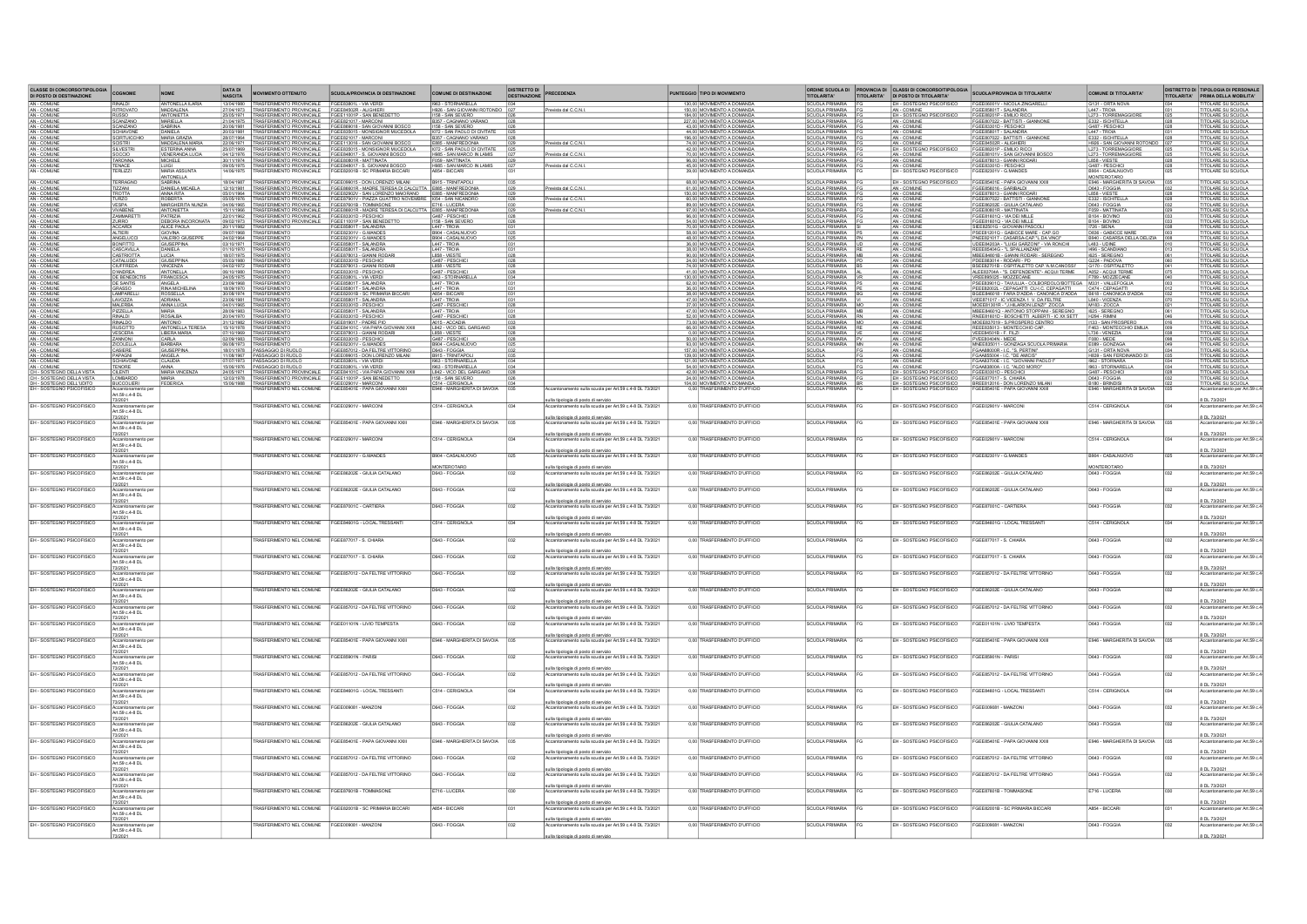| <b>CLASSE DI CONCORSO/TIPOLOGIA<br/>DI POSTO DI DESTINAZIONE</b>                                                                                          | COGNOME                                | <b>NOME</b>                            | DATA DI<br>NASCITA                | <b>OVIMENTO OTTENUTO</b>                                                           | <b>SCUOLA/PROVINCIA DI DESTINAZION</b>                                                                                                                                                                                               | MUNE DI DESTINAZIONE                                                       | <b>DISTRETTO DI</b><br>DESTINAZIONE | <b>PRECEDENZA</b>                                                                                     | UNTEGGIO TIPO DI MOVIMENTO                                                          | ORDINE SCUOLA DI<br>TITOLARITA'                                   | PROVINCIA DI CLASSI DI CONCORSO/TIPOLOGIA<br>TITOLARITA' DI POSTO DI TITOLARITA' | SCUOLA/PROVINCIA DI TITOLARITA                                                                                               | <b>COMUNE DI TITOLARITA</b>                                                         |     | DISTRETTO DI TIPOLOGIA DI PERSONALI<br>TITOLARITA' PRIMA DELLA MOBILITA' |
|-----------------------------------------------------------------------------------------------------------------------------------------------------------|----------------------------------------|----------------------------------------|-----------------------------------|------------------------------------------------------------------------------------|--------------------------------------------------------------------------------------------------------------------------------------------------------------------------------------------------------------------------------------|----------------------------------------------------------------------------|-------------------------------------|-------------------------------------------------------------------------------------------------------|-------------------------------------------------------------------------------------|-------------------------------------------------------------------|----------------------------------------------------------------------------------|------------------------------------------------------------------------------------------------------------------------------|-------------------------------------------------------------------------------------|-----|--------------------------------------------------------------------------|
| AN - COMUNE<br>AN - COMUNE                                                                                                                                | RINALDI<br><b>HTROVATO</b>             | ANTONELLA ILARIA<br>MADDALEN           | 13/04/1980<br>7/04/1973           | RASFERIMENTO PROVINCIALE FGEE83801L - VIA VERDI<br>ASFERIMENTO PROVINCIALE         | <b>EGEER4502R - ALIGHIER</b>                                                                                                                                                                                                         | <b>1963 - STORNARELLA</b><br>626 - SAN GIOVANNI ROTONDO DO                 |                                     | Prevista dal C.C.N.                                                                                   | 130,00 MOVIMENTO A DOMAND.<br>150.00 MOVIMENTO A DOMAND                             | SCUOLA PRIMARIA<br>SCUOLA PRIMARIA                                | EH - SOSTEGNO PSICOF<br>- COM INF                                                | FGEE06001V - NICOLA ZINGAREL<br><b>JEE85801T - SALANDR</b>                                                                   | G131 - ORTA NOVA<br>1447 - TROM                                                     |     | <b>TOLARE SU SCUOLA</b><br>OLARE SU SCUOLA                               |
| AN - COMUNE<br>AN - COMUNE                                                                                                                                | <b>RUSSO</b><br>SCANZANO               | <b>ANTONIETTA</b><br><b>MARIELLA</b>   | ztvot <i>i</i> 1971<br>21/04/1975 | SFERIMENTO PROVINCIALE<br><b>ISFERIMENTO PROVINCIALE</b>                           | FGEE11001P - SAN BENEDETTO<br>FGEE821017 - MARCONI                                                                                                                                                                                   | 1158 - SAN SEVERO<br>B357 - CAGNANO VARANO                                 | $\frac{0.26}{0.28}$                 |                                                                                                       | 184.00 MOVIMENTO A DOMANDA<br>227,00 MOVIMENTO A DOMANDA                            | SCUOLA PRIMARIA<br>SCUOLA PRIMARIA                                | EH - SOSTEGNO PSICOFISICO                                                        | FGEE88201P - EMILIO RICCI<br>FGEE807022 - BATTISTI - GIANNONE                                                                | L273 - TORREMAGGIOR<br>E332 - ISCHITELLA                                            |     | OLARE SU SCUOLA<br>OLARE SU SCUOLA                                       |
| AN - COMUNE<br>AN - COMUNE<br>AN - COMUNE                                                                                                                 | SCANZANO<br>SCHIAVONE                  | SABRINA<br>DANIELA                     | 20/06/1981                        |                                                                                    | %RSFERIMENTO PROVINCIALE FGEE869018 - SAN GIOVANNI BOSCO<br>%RSFERIMENTO PROVINCIALE FGEE835015 - MONSIGNOR MUCEDOL/                                                                                                                 | 1158 - SAN SEVERO 026<br>1072 - SAN PAOLO DI CIVITATE 025                  |                                     |                                                                                                       | 43.00 MOVIMENTO A DOMANDA<br>44,00 MOVIMENTO A DOMANDA                              | SCUOLA PRIMARIA<br>SCUOLA PRIMARIA                                | AN - COMUNE<br>AN - COMUNE                                                       | FGEE83301D - PESCHICI<br>FGEE85801T - SALANDRA                                                                               | G487 - PESCHICI<br>L447 - TROIA                                                     |     | OLARE SU SCUOLA<br>OLARE SU SCUOLA                                       |
|                                                                                                                                                           | SCIRTUICCHIC                           | MARIA GRAZI<br>MADDALENA MARIA         | 28/07/1964<br>22/06/1971          | TRASFERIMENTO PROVINCIALE FGEE821017 - MARCONI                                     |                                                                                                                                                                                                                                      | B357 - CAGNANO VARANO<br>E885 - MANFREDONA<br>I072 - SAN PAOLO DI CIVITATE |                                     | Prevista dal C.C.N.                                                                                   | 196,00 MOVIMENTO A DOMANDA<br>74.00 MOVIMENTO A DOMANDA                             | SCUOLA PRIMARIA                                                   | AN - COMUN<br>AN - COMUNE                                                        | FGEE807022 - BATTISTI - GIANNONE<br>FGEE84502R - ALIGHIERI                                                                   | E332 - ISCHITELLA                                                                   |     | OLARE SU SCUOLA<br>TOLARE SU SCUOLA                                      |
|                                                                                                                                                           | SCISTRI<br>SILVESTRI                   | ESTERINA ANNA<br>VENERANDA LUCIA       | 25/07/1969                        |                                                                                    | TRASFERIMENTO PROVINCIALE FGEE113016 - SAN GIOVANNI BOSCO<br>TRASFERIMENTO PROVINCIALE FGEE835015 - MONSIGNOR MUCEDOLA                                                                                                               |                                                                            | $\frac{029}{025}$                   | Prevista dal C.C.N.                                                                                   | 42,00 MOVIMENTO A DOMANDA                                                           | SCUOLA PRIMARIA FO                                                | EH - SOSTEGNO PSICOFISICO                                                        | FGEE88201P - EMILIO RICCI                                                                                                    | H926 - SAN GIOVANNI ROTONDO 027<br>L273 - TORREMAGGIORE 025<br><b>TORREMAGGIORE</b> |     | OLARE SU SCUOLA                                                          |
| AN - COMUNE<br>AN - COMUNE<br>AN - COMUNE<br>AN - COMUNE<br>AN - COMUNE<br>AN - COMUNE                                                                    | SOCCIO<br>TARONNA<br>ENACE             | <b>MICHELE</b>                         | 04/12/1976<br>30/11/1974          |                                                                                    | TRASFERIMENTO PROVINCIALE FGEE848017 - S. GIOVANNI BOSCO.<br>TRASFERIMENTO PROVINCIALE FGEE80801R - MATTINATA<br>FGEE848017 - S. GIOVANNI BOSCO                                                                                      | H985 - SAN MARCO IN LAMIS<br>F059 - MATTINATA                              |                                     | Prevista dal C.C.N.                                                                                   | 70.00 MOVIMENTO A DOMANDA<br>96,00 MOVIMENTO A DOMANDA                              | SCUOLA PRIMARIA                                                   | AN - COMUNE<br>AN - COMUNE                                                       | FGEE88101V - SAN GIOVANNI BOSCO<br>FGEE878013 - GIANNI RODARI<br>SEE83301D - PESCHIC                                         | L273 - TORRE                                                                        |     | OLARE SU SCUOLA<br>OLARE SU SCUOLA                                       |
|                                                                                                                                                           | <b>RLIZZ</b>                           | LUIGI<br>MARIA ASSUNT:<br>ANTONELLA    | 4/06/1975                         | TRASFERIMENTO PROVINCIALE<br>TRASFERIMENTO PROVINCIALE                             | FGEE82001B - SC PRIMARIA BICCAR                                                                                                                                                                                                      | H985 - SAN MARCO IN LAMIS<br>A854 - BICCARI                                |                                     |                                                                                                       | 45,00 MOVIMENTO A DOMANDA<br>39,00 MOVIMENTO A DOMANDA                              | SCUOLA PRIMARIA                                                   | AN - COMUNE<br>EH - COMUNE<br>EH - SOSTEGNO PSICOFISIC                           | FGEE82301V - G.MANDE                                                                                                         | G487 - PESCHICI<br>B904 - CASALNUOVO<br>MONTEROTARO                                 |     | TOLARE SU SCUOLA                                                         |
| AN - COMUNE<br>AN - COMUNE<br>AN - COMUNE                                                                                                                 | <b>RAGNO</b><br><b>12ZANI</b><br>ROTTA | <u>SABRINA</u><br>DANIELA MICAELA      |                                   |                                                                                    | EASFERIMENTO PROVINCIALE FOEED99015 DON LORENZO MILANI 19915 TRINITAPOLI<br>FAUSFERIMENTO PROVINCIALE FOEED9901R -MADRE TERESA DI CALCUITTA ES95 - MANFREDONIA<br>FRASFERIMENTO PROVINCIALE FOEED2902V - SAN LORENZO MAIORANO - E895 |                                                                            |                                     | Prevista dal C.C.N.                                                                                   | 68.00 MOVIMENTO A DOMANDA<br>61,00 MOVIMENTO A DOMANDA                              | SCUOLA PRIMARIA                                                   | EH - SOSTEGNO PSICOFISIO<br>AN - COMUNE                                          | FGEE85401E - PAPA GIOVANNI XXII                                                                                              | E946 - MARGHERITA DI SAVOIA<br>D643 - FOGGIA                                        |     | OLARE SU SCUOLA<br>OLARE SU SCUOLA                                       |
|                                                                                                                                                           |                                        | ANNA RITA<br>ROBERTA                   | 05/05/1976                        |                                                                                    |                                                                                                                                                                                                                                      |                                                                            |                                     | Prevista dal C.C.N.                                                                                   | 150,00 MOVIMENTO A DOMAND.                                                          |                                                                   | AN - COMUN                                                                       | FGEE856016 - GARIBALDI<br>FGEE878013 - GIANNI RODARI                                                                         | L858 - VIESTE                                                                       | 028 | OLARE SU SCUOLA                                                          |
| <b>AN - COMUNE</b><br><b>AN - COMUNE</b><br><b>AN - COMUNE</b><br><b>AN - COMUNE</b><br><b>AN - COMUNE</b>                                                | TURZO<br>VESPA                         | MARGHERITA NUNZIA<br><b>ANTONIETTA</b> | 04/06/1965<br>15/11/1966          | TRASFERIMENTO PROVINCIALE                                                          | TRASFERIMENTO PROVINCIALE FGEE87901V - PIAZZA QUATTRO NOVEMBRE   1054 - SAN NICANDRO<br>TRASFERIMENTO PROVINCIALE   FGEE87601B - TOMMASONE   E716 - LUCERA<br>FGEE86601R - MADRE TERESA DI CALCUTTA E885 - MANFREDONIA               |                                                                            |                                     | Prevista dal C.C.N.                                                                                   | 60.00 MOVIMENTO A DOMANDA<br>89,00 MOVIMENTO A DOMANDA<br>97.00 MOVIMENTO A DOMAND. | SCUOLA PRIMARIA F<br><b>SCUOLA PRIMARIA</b>                       | AN - COMUNE<br>AN - COMUNE<br>AN - COMUN                                         | FGEE807022 - BATTISTI - GIANNONE<br>FGEE86202E - GIULIA CATALANO<br>FGEE80801R - MATTINATA                                   | E332 - ISCHITELLA<br>D643 - FOGGIA                                                  |     | ITOLARE SU SCUOLA<br>ITOLARE SU SCUOLA<br><b>ITOLARE SU SCUOLA</b>       |
|                                                                                                                                                           | VIVABENE<br>ZAMMARETT                  | PATRIZIA<br>DEBORA INCOR               | 22/01/1962                        | TRASFERIMENTO PROVINCIALE<br>TRASFERIMENTO PROVINCIALE                             | FGEE83301D - PESCHICI<br>FGEE11001P - SAN BENEDETTO                                                                                                                                                                                  | G487 - PESCHICI                                                            |                                     |                                                                                                       | 96.00 MOVIMENTO A DOMAND.<br>54,00 MOVIMENTO A DOMAND.                              | SCUOLA PRIMARIA                                                   | AN - COMUN<br>AN - COMUN                                                         | FGEE81601Q - VIA DEI MILLE<br>FGEE81601Q - VIA DEI MILLE                                                                     | F059 - MATTINATA<br>B104 - BOVINO<br>B104 - BOVINO                                  |     | TOLARE SU SCUOLA                                                         |
|                                                                                                                                                           | ACCARDI<br>ALTIERI                     | ALICE PAOLA<br><b>GIOVINA</b>          |                                   | 20/11/1982 TRASFERIMENTO                                                           | FGEE85801T - SALANDRA<br>FGEE82301V - G.MANDES                                                                                                                                                                                       | L447 - TROIA<br>B904 - CASALNUOVO                                          |                                     |                                                                                                       | 70.00 MOVIMENTO A DOMANDA<br>58,00 MOVIMENTO A DOMANDA                              | SCUOLA PRIMARIA SI<br>SCUOLA PRIMARIA PS                          | AN - COMUNE<br>AN - COMUNE                                                       | SIEE82501G - GIOVANNI PASCOLI<br>PSEE81201Q - GABICCE MARE - CAP.GO                                                          | 1726 - SIENA<br>D836 - GABICCE MAR                                                  |     | <u>TOLARE SU SCUOLA.</u><br>TOLARE SU SCUOLA                             |
| <b>AN - COMUNE</b><br>AN - COMUNE<br>AN - COMUNE<br>AN - COMUNE<br>AN - COMUNE<br>AN - COMUNE<br>AN - COMUNE<br>AN - COMUNE<br>AN - COMUNE<br>AN - COMUNE | ANGELUCO                               | VALERIO GIUSEPP                        | 24/02/1964<br>03/10/1971          | <b>TRASFERIMENT</b>                                                                | FGEE82301V - G.MANDES                                                                                                                                                                                                                | B904 - CASALNUOVO                                                          |                                     |                                                                                                       | 48.00 MOVIMENTO A DOMAND.                                                           | SCUOLA PRIMARIA PN<br>SCUOLA PRIMARIA UD<br>SCUOLA PRIMARIA RE    | AN - COMUN                                                                       | PNEE821017 - CASARSA-CAP.*L.DA VINC                                                                                          | B940 - CASARSA DELLA DELIZIA<br>L483 - UDINE<br>1496 - SCANDIANO                    |     | TOLARE SU SCUOLA                                                         |
|                                                                                                                                                           | BONFITTO                               | GIUSEPPINA<br>LUCIA                    | 01/10/1970                        | TRASFERIMENT                                                                       | FGEE85801T - SALANDRA<br>FGEE85801T - SALANDRA                                                                                                                                                                                       | L447 - TROIA                                                               |                                     |                                                                                                       | 36.00 MOVIMENTO A DOMANDA<br>38,00 MOVIMENTO A DOMANDA                              |                                                                   | AN - COMUN<br>AN - COMUN                                                         | UDEE84203A - "LUIGI GARZONI" - VIA RONCHI                                                                                    | 1625 - SEREGNO                                                                      |     | TOLARE SU SCUOLA                                                         |
|                                                                                                                                                           | CASTRIOTTA<br><b>CIUFFREDA</b>         | GIUSEPPIN<br>VINCENZ/                  |                                   | 18/07/1975 TRASFERIMENTO<br><b>TRASFFRIMENT</b>                                    | FGEE878013 - GIANNI RODARI<br>FGEE83301D - PESCHICI<br>FGEE878013 - GIANNI RODAF                                                                                                                                                     | L858 - VIESTE<br>G487 - PESCHICI                                           |                                     |                                                                                                       | 90.00 MOVIMENTO A DOMANDA<br>24,00 MOVIMENTO A DOMANDA<br>74.00 MOVIMENTO A DOMAND. | SCUOLA PRIMARIA MB<br>SCUOLA PRIMARIA B                           | AN - COMUNE<br>AN - COMUNE<br>AN - COMUNE                                        | MBEE84801B - GIANNI RODARI - SEREGNO<br>PDEE883014 - RODARI - PD<br>BSEE82701B - OSPITALETTO CAP.'A.M.CANOSSI                | G224 - PADOVA                                                                       |     | ITOLARE SU SCUOLA.<br>ITOLARE SU SCUOLA<br><b>TOLARE SU SCUOLA</b>       |
| AN - COMUNE<br>AN - COMUNE                                                                                                                                | D'ANDREA<br>DE BENEDICTI               | ANTONELLA<br>FRANCESCA                 | 06/10/1980<br>24/05/1975          | TRASFERIMENTS                                                                      | FGEE83301D - PESCHICI<br>FGEE83801L - VIA VERDI                                                                                                                                                                                      | L858 - VIESTE<br>G487 - PESCHICI<br>1963 - STORNARELL                      |                                     |                                                                                                       | 41.00 MOVIMENTO A DOMANDA                                                           | SCUOLA PRIMARIA AL<br>SCUOLA PRIMARIA AL<br>SCUOLA PRIMARIA VR    | AN - COMUNE<br>AN - COMUNE                                                       | ALEE83704A - "S. DEFENDENTE" - ACQUI TERME<br>VREE895025 - MOZZECANE                                                         | G170 - OSPITALETTO<br>A052 - ACQUI TERME<br>F789 - MOZZECANE                        |     | TOLARE SU SCUOLA<br>TOLARE SU SCUOLA                                     |
| AN - COMUNE<br>AN - COMUNE<br>AN - COMUNE                                                                                                                 | DE SANTIS                              | ANGELA<br>RINA MICHELINA               |                                   | 23/09/1968 TRASFERIMENTO                                                           | FGEE85801T - SALANDRA<br>FGEE85801T - SALANDRA                                                                                                                                                                                       | L447 - TROIA<br>L447 - TROIA                                               |                                     |                                                                                                       | 62.00 MOVIMENTO A DOMANDA<br>36,00 MOVIMENTO A DOMANDA                              | SCUOLA PRIMARIA PS                                                | AN - COMUNE<br>AN - COMUNE                                                       | PSEE83901Q - TAVULLIA - COLBORDOLO/BOTTEGA M331 - VALLEFOGLIA<br>PEEE82002L - CEPAGATTI CU-LC. CEPAGATTI C474 - CEPAGATTI    |                                                                                     |     | ITOLARE SU SCUOLA.<br>ITOLARE SU SCUOLA                                  |
|                                                                                                                                                           | <b>LAMPARELL</b>                       | ADRIANA                                | 23/06/1981                        | <b>TRASFERIMENT</b>                                                                | FGEE82001B - SC PRIMARIA BIC<br>FGEE85801T - SALANDRA<br>FGEE83301D - PESCHICI                                                                                                                                                       | ABS4 - BICCARI<br>L447 - TROIA<br>G487 - PESCHICI                          |                                     |                                                                                                       | 38.00 MOVIMENTO A DOMANDA<br>47.00 MOVIMENTO A DOMANDA                              | SCUOLA PRIMARIA BONDO<br>SCUOLA PRIMARIA VI<br>SCUOLA PRIMARIA MO | AN - COMUNE<br>AN - COMUNE<br>AN - COMUNE                                        | BEEB46018 - FARA D'ADDA - CANONICA D'ADDA<br>VIEE871017 - IC VICENZA 1 V. DA FELTRE<br>MOEE81301R - "J.HILARION LENZI" ZOCCA | B618 - CANONICA D'ADDI<br>L840 - VICENZA<br>M183 - ZOCCA                            |     | TOLARE SU SCUOLA                                                         |
| AN - COMUNE<br>AN - COMUNE                                                                                                                                | LAVOZZA                                | ANNA LUCIA                             | 04/01/1965<br>28/09/1983          | TRASFERIMENTO                                                                      |                                                                                                                                                                                                                                      |                                                                            |                                     |                                                                                                       | 37,00 MOVIMENTO A DOMAND.                                                           |                                                                   |                                                                                  |                                                                                                                              |                                                                                     |     |                                                                          |
| AN - COMUNE<br>AN - COMUNE<br>- COMUN                                                                                                                     | PIZZELLA                               | MARIA<br>ROSALBA                       | 20/04/1970<br>1/12/1982           | <b>TRASFERIMENTO</b><br>TRASFERIMENTO<br>SFERIMENT                                 | FGEE85801T - SALANDRA<br>FGEE83301D - PESCHICI<br>SEE819017 - PADRE PIC                                                                                                                                                              | L447 - TROIA<br>G487 - PESCHICI<br>A015 - ACCADIA                          |                                     |                                                                                                       | 47.00 MOVIMENTO A DOMANDA<br>52,00 MOVIMENTO A DOMANDA<br>73.00 MOVIMENTO A DOMAND. | SCUOLA PRIMARIA MB<br>SCUOLA PRIMARIA RN                          | AN - COMUNE<br>AN - COMUNE<br>AN - COMUN                                         | MBEE84601Q - ANTONIO STOPPANI - SEREGNO<br>RNEE81601D - BOSCHETTI ALBERTI - IC XX SETT<br>MOEE837019 - S.PROSPERO CENTRO     | 1625 - SEREGNO<br>- SAN PROSPER                                                     |     | TOLARE SU SCUOLA<br>TOLARE SU SCUOLA<br>OLARE SU SCUOLA                  |
| AN - COMUNE<br>AN - COMUNE                                                                                                                                | RUSCITTO<br>VESCERA                    | ANTONELLA TERESA<br>LIBERA MARIA       | 15/10/1978<br>7/10/1969           | TRASFERIMENTO<br><b>RASFERIMENT</b>                                                | GEE84101C - VIA PAPA GIOVANNI XXIII<br>GEE878013 - GIANNI RODARI                                                                                                                                                                     | L842 - VICO DEL GARGAN<br>L858 - VIESTE                                    |                                     |                                                                                                       | 66.00 MOVIMENTO A DOMANDA<br>0,00 MOVIMENTO A DOMANDA                               | SCUOLA PRIMARIA MO<br>SCUOLA PRIMARIA RE<br>SCUOLA PRIMARIA VE    | AN - COMUNE<br>AN - COMUNE                                                       | REEE835013 - MONTECCHIO CAP.<br>VEEE84501B - F. FILZI                                                                        | F463 - MONTECCHIO EMILIA<br>L736 - VENEZIA                                          | 009 | TOLARE SU SCUOLA<br>TOLARE SU SCUOLA                                     |
| AN - COMUNE<br>AN - COMUNE<br>AN - COMUNE<br>AN - COMUNE                                                                                                  | ZANNONI<br>ZICOLELLA                   | CARLA<br>BARBARA                       | 02/09/1983<br>06/08/1973          | TRASFERIMENTO                                                                      | FGEE83301D - PESCHICI<br>GEE82301V - G.MANDES                                                                                                                                                                                        | G487 - PESCHICI<br>B904 - CASALNUOVC                                       |                                     |                                                                                                       | 50.00 MOVIMENTO A DOMANDA<br>93.00 MOVIMENTO A DOMAND.                              | SCUOLA PRIMARIA P<br>SCUOLA PRIMARIA M                            | AN - COMUNE<br>AN - COMUNE                                                       | PVEE80404N - MEDE<br>MNEE835011 - GONZAGA SCUOLA PRIMARIA                                                                    | F080 - MEDE<br>E089 - GONZAGA                                                       |     | <u>TOLARE SU SCUOLA.</u><br>TOLARE SU SCUOLA                             |
|                                                                                                                                                           | CASIERE                                | SIUSEPPINA                             | 18/01/1978                        | PASSAGGIO DI RUO                                                                   | GEE857012 - DA FELTRE VITTORIN<br>EGEE099015 - DON LORENZO MILANI                                                                                                                                                                    | D643 - FOGGIA                                                              |                                     |                                                                                                       | 157.00 MOVIMENTO A DOMAND.                                                          | SCUOLA                                                            | AN - COMUN<br>AN - COMUNE                                                        | FGAA88000R - LC. "S. PERTINT"<br>FGAA88000R - LC. "DE AMICIS"<br>FGAA83700E - LC. "GIOVANNI PAOLO                            | G131 - ORTA NOVA<br>H839 - SAN FERDINANDO DI<br>1962 - STORNARA                     |     | <b>DLARE SU SCUOLA</b>                                                   |
| AN - COMUNE<br>AN - COMUNE                                                                                                                                | SCHIAVONE<br><b>TENORE</b>             | <b>ANGELA</b><br><b>CLAUDIA</b>        | 11/08/1967                        | PASSAGGIO DI RUOLO<br>7/07/1973   PASSAGGIO DI RUOLO                               | FGEE83801L - VIA VERDI                                                                                                                                                                                                               | 1963 - STORNARELLA                                                         |                                     |                                                                                                       | 139.00 MOVIMENTO A DOMANDA<br>121,00 MOVIMENTO A DOMANDA                            | <b>SCUOLA</b><br>SCUOLA<br>SCUOLA                                 | AN - COMUNE<br>AN - COMUNE                                                       |                                                                                                                              |                                                                                     |     | TOLARE SU SCUOLA<br>OLARE SU SCUOLA                                      |
| <b>AN - COMUNE<br/>CH - SOSTEGNO DELLA VISTA<br/>CH - SOSTEGNO DELLA VISTA</b>                                                                            | <b>JI FNT</b>                          | ANNA<br>MARIA VINCENZA                 |                                   | 15/06/1976 PASSAGGIO DI RUOLO<br>RASFERIMENTO PROVINCIAL<br>SFERIMENTO PROVINCIALE | FGEE83801L - VIA VERDI<br>FGEE84101C - VIA PAPA GIOVANNI XXII                                                                                                                                                                        | 1963 - STORNARELLA<br>L842 - VICO DEL GARGANI                              |                                     |                                                                                                       | 54.00 MOVIMENTO A DOMANDA<br>42,00 MOVIMENTO A DOMANDA<br>24.00 MOVIMENTO           | <b>SCUOLA PRIMARIA</b>                                            | - SOSTEGNO PSICOFISIO<br>1 - SOSTEGNO PSICOFISICO                                | FGAA83800A - I.C. "ALDO MORO"<br>FGEE83301D - PESCHICI<br>FGEE877017 - S. CHIARA                                             | 1963 - STORNARELLA<br>G487 - PESCHICI                                               |     | TOLARE SU SCUOLA<br>TOLARE SU SCUOLA                                     |
| DH - SOSTEGNO DELL'UDITO                                                                                                                                  | <b>BUCCOLIERI</b><br>kccantonam        | EDERICA                                | 12/03/1978                        | 15/06/1988 TRASFERIMENTO<br>TRASFERIMENTO NEL COMUNE                               | FGEE11001P - SAN BENEDETTO<br>F <u>GEE02901V - MARCONI</u><br>FGEE85401E - PAPA GIOVANNI XXII                                                                                                                                        | 1158 - SAN SEVERO<br>C514 - CERIGNOLA<br>E946 - MARGHERITA DI SAVOIA       |                                     | ento sulla scuola per Art.59 c.4-8 DL 73/202                                                          | 104.00 MOVIMENTO A DOMANDA<br>0,00 TRASFERIMENTO D'UFFICIO                          | SCUOLA PRIMARIA<br>SCUOLA PRIMARIA BR<br>SCUOLA PRIMARIA FG       | EH - SOSTEGNO PSICOFISICO<br>EH - SOSTEGNO PSICOFISICO                           | BREE812016 - DON LORENZO MILANI<br>FGEE85401E - PAPA GIOVANNI XXIII                                                          | D643 - FOGGIA<br>B180 - BRINDISI<br>E946 - MARGHERITA DI SAVOIA                     |     | LARE SU SCUOLA<br>TITOLARE SU SCUOLA<br>ento per Art.59                  |
|                                                                                                                                                           | Art.59 c.4-8 DL                        |                                        |                                   |                                                                                    |                                                                                                                                                                                                                                      |                                                                            |                                     | ulla tipologia di posto di servizi                                                                    |                                                                                     |                                                                   |                                                                                  |                                                                                                                              |                                                                                     |     | 8 DL 73/2021                                                             |
| EH - SOSTEGNO PSICOFISICO                                                                                                                                 | Art.59 c.4-8 DL                        |                                        |                                   | ASFERIMENTO NEL COMUNI                                                             | GEE02901V - MARCON                                                                                                                                                                                                                   | 514 - CERIGNOLI                                                            |                                     | ola per Art.59 c.4-8 DL 73/20                                                                         | 0.00 TRASFERIMENTO D'UFFICIO                                                        | CLIOLA PR                                                         | EH - SOSTEGNO PSICOFISIO                                                         | GEE02901V - MARCON                                                                                                           | C514 - CERIGNOLA                                                                    |     |                                                                          |
| EH - SOSTEGNO PSICOEISICO                                                                                                                                 | 73/2021                                |                                        |                                   | RASEERIMENTO NEL COMUNE                                                            | EGEE85401E - PAPA GIOVANNI XXII                                                                                                                                                                                                      | FR46 - MARGHERITA DI SAVOIA                                                |                                     | sulla tipologia di posto di servizio<br>sulla scuola per Art 59 c 4-8 DL 73/202                       | 0.00 TRASFERIMENTO D'UEFICIO                                                        | SCUOLA PRIMARIA                                                   | FH. SOSTEGNO PSICOEISICO                                                         | GEE85401E - PAPA GIOVANNI XXIII                                                                                              | FR46 - MARGHERITA DI SAVOIA                                                         |     | 8 DL 73/2021                                                             |
|                                                                                                                                                           | Art 59 c 4-8 DI                        |                                        |                                   |                                                                                    |                                                                                                                                                                                                                                      |                                                                            |                                     | ulla tipologia di posto di servizio                                                                   |                                                                                     |                                                                   |                                                                                  |                                                                                                                              |                                                                                     |     | 8 DL 73/2021                                                             |
| EH - SOSTEGNO PSICOFISICO                                                                                                                                 | Art.59 c.4-8 DL                        |                                        |                                   | RASFERIMENTO NEL COMUNE                                                            | FGEE02901V - MARCON                                                                                                                                                                                                                  | C514 - CERIGNOLA                                                           |                                     | intonamento sulla scuola per Art.59 c.4-8 DL 73/202                                                   | 0.00 TRASFERIMENTO D'UFFICIO                                                        | <b>SCUOLA PRIMARIA</b>                                            | EH - SOSTEGNO PSICOFISICO                                                        | GEE02901V - MARCONI                                                                                                          | C514 - CERIGNOLA                                                                    |     |                                                                          |
| EH - SOSTEGNO PSICOFISICO                                                                                                                                 | 3/2021                                 |                                        |                                   | RASEERIMENTO NEL COMUNE                                                            | EGEE82301V - G MANDES                                                                                                                                                                                                                | RANA - CASAI NI IOVO                                                       |                                     | ulla tipologia di posto di servizio<br>→→→ «···ll» scuola per Art.59 c.4-8 DL 73/202                  | 0.00 TRASFERIMENTO D'UEFICIO                                                        | CLIOLA PRIMARIA                                                   | H - SOSTEGNO PSICOEISICO                                                         | GEE82301V - G MANDES                                                                                                         | <b>GASALNI IOVO</b>                                                                 |     | 8 DL 73/202                                                              |
|                                                                                                                                                           | rt.59 c.4-8 DL<br>73/2021              |                                        |                                   |                                                                                    |                                                                                                                                                                                                                                      | MONTEROTARO                                                                |                                     | ulla tipologia di posto di servizio                                                                   |                                                                                     |                                                                   |                                                                                  |                                                                                                                              | MONTEROTARO                                                                         |     | 8 DL 73/2021                                                             |
| EH - SOSTEGNO PSICOFISICO                                                                                                                                 | amento or<br>Art.59 c.4-8 DL           |                                        |                                   | ASEERIMENTO NEL COMUNE                                                             | GEE86202E - GIULIA CATALANO                                                                                                                                                                                                          |                                                                            |                                     | ento sulla scuola per Art 59 c 4-8 DL 73/202                                                          | 0,00 TRASFERIMENTO D'UFFICIO                                                        | CLIOLA PRIMARIA                                                   | H - SOSTEGNO PSICOFISICO                                                         | GEE86202E - GIULIA CATALANO                                                                                                  |                                                                                     |     |                                                                          |
| EH - SOSTEGNO PSICOFISICO                                                                                                                                 |                                        |                                        |                                   | ASFERIMENTO NEL COMUNE                                                             | GEE86202E - GIULIA CATALANO                                                                                                                                                                                                          | D643 - FOGGV                                                               |                                     | ulla tipologia di posto di servizi<br>nento sulla scuola per Art.59 c.4-8 DL 73/202                   | 0,00 TRASFERIMENTO D'UFFICIO                                                        | <b>SCUOLA PRI</b>                                                 | <b>H - SOSTEGNO PSICOFISICO</b>                                                  | GEE86202E - GIULIA CATALANO                                                                                                  | D643 - FOGGI                                                                        |     | B DL 73/202                                                              |
|                                                                                                                                                           | Art.59 c.4-8 DL<br>12021               |                                        |                                   |                                                                                    |                                                                                                                                                                                                                                      |                                                                            |                                     | ulla tipologia di posto di servizio                                                                   |                                                                                     |                                                                   |                                                                                  |                                                                                                                              |                                                                                     |     | 8 DL 73/2021                                                             |
| EH - SOSTEGNO PSICOFISICO                                                                                                                                 | Art.59 c.4-8 DL                        |                                        |                                   | RASFERIMENTO NEL COMUNE                                                            | FGEE87001C - CARTIERA                                                                                                                                                                                                                | D643 - FOGGIA                                                              |                                     | la per Art.59 c.4-8 DL 73/202                                                                         | 0.00 TRASFERIMENTO D'UFFICIO                                                        | CLIOLA PRIMARIA                                                   | EH - SOSTEGNO PSICOFISICO                                                        | GEE87001C - CARTIER/                                                                                                         | D643 - FOGGIA                                                                       |     |                                                                          |
| EH - SOSTEGNO PSICOFISICO                                                                                                                                 | 73/2021                                |                                        |                                   | RASFERIMENTO NEL COMUNE                                                            | GEE84601G - LOCAL TRESSANT                                                                                                                                                                                                           | C514 - CERIGNOLA                                                           |                                     | sulla tipologia di posto di servizio<br>to sulla scuola per Art.59 c.4-8 DL 73/202                    | 0.00 TRASFERIMENTO D'UFFICIO                                                        | CLIOLA PRIMARIA                                                   | H - SOSTEGNO PSICOFISICO                                                         | GEE84601G - LOCAL TRESSANT                                                                                                   | C514 - CERIGNOLA                                                                    |     | 8 DL 73/2021                                                             |
| EH - SOSTEGNO PSICOFISICO                                                                                                                                 | Art.59 c.4-8 DL                        |                                        |                                   | RASEERIMENTO NEL COMUNE                                                            | GEER77017 - S. CHIARA                                                                                                                                                                                                                | DR43 - FOGGM                                                               |                                     | ulla tipologia di posto di servizio<br>ccantonamento sulla scuola per Art.59 c.4-8 DL 73/202          | 0.00 TRASFERIMENTO D'UEFICIO                                                        | <b>SCUOLA PRIMARI</b>                                             | EH - SOSTEGNO PSICOFISICO                                                        | GEE877017 - S. CHIARA                                                                                                        | DR43 - FOGGU                                                                        |     | 8 DL 73/2021                                                             |
|                                                                                                                                                           | Art.59 c.4-8 DL                        |                                        |                                   |                                                                                    |                                                                                                                                                                                                                                      |                                                                            |                                     |                                                                                                       |                                                                                     |                                                                   |                                                                                  |                                                                                                                              |                                                                                     |     | 8 DL 73/202                                                              |
| EH - SOSTEGNO PSICOFISICO                                                                                                                                 | 73/2021<br>Art.59 c.4-8 DL             |                                        |                                   | RASFERIMENTO NEL COMUNE                                                            | FGEE877017 - S. CHIARA                                                                                                                                                                                                               | D643 - FOGGIA                                                              |                                     | <u>ulla tipologia di posto di servizio</u><br>→→→ → «Illa scuola per Art.59 c.4-8 DL 73/2021          | 0.00 TRASFERIMENTO D'UFFICIO                                                        | <b>SCUOLA PRIMARIA</b>                                            | EH - SOSTEGNO PSICOFISICO                                                        | FGEE877017 - S. CHIARA                                                                                                       | D643 - FOGGIA                                                                       |     |                                                                          |
| EH - SOSTEGNO PSICOFISICO                                                                                                                                 | 3/2021                                 |                                        |                                   | ASFERIMENTO NEL COMUNE                                                             | GEE857012 - DA FELTRE VITTORING                                                                                                                                                                                                      | 0643 - FOGGM                                                               |                                     | ulla tipologia di posto di servizio<br>ento sulla scuola per Art.59 c.4-8 DL 73/202                   | 0.00 TRASFERIMENTO D'UFFICIO                                                        | CUOLA PRIMA                                                       | - SOSTEGNO PSICOFISICO                                                           | GEE857012 - DA FELTRE VITTORIN                                                                                               | 0643 - FOGGU                                                                        |     | 8 DL 73/2021                                                             |
|                                                                                                                                                           | Art.59 c.4-8 DL                        |                                        |                                   |                                                                                    |                                                                                                                                                                                                                                      |                                                                            |                                     | ulla tipologia di posto di servizi                                                                    |                                                                                     |                                                                   |                                                                                  |                                                                                                                              |                                                                                     |     | 8 DL 73/202                                                              |
| EH - SOSTEGNO PSICOFISICO                                                                                                                                 | Art.59 c.4-8 DL                        |                                        |                                   | RASFERIMENTO NEL COMUNE                                                            | GEE86202E - GIULIA CATALANO                                                                                                                                                                                                          | D643 - FOGGIA                                                              |                                     | antonamento sulla scuola per Art.59 c.4-8 DL 73/202                                                   | 0.00 TRASFERIMENTO D'UFFICIO                                                        | SCUOLA PRIMARIA                                                   | EH - SOSTEGNO PSICOFISICO                                                        | GEE86202E - GIULIA CATALANO                                                                                                  | D643 - FOGGIA                                                                       |     |                                                                          |
| EH - SOSTEGNO PSICOEISICO                                                                                                                                 | 3/2021                                 |                                        |                                   | RASEERIMENTO NEL COMUNE                                                            | GEE857012 - DA EELTRE VITTORING                                                                                                                                                                                                      | D643 - FOGGIA                                                              |                                     | ulla tipologia di posto di servizio<br>la ner Art 59 c 4-8 DL 73/202                                  | 0.00 TRASFERIMENTO D'UEFICIO                                                        | CLIOLA PRIMARIA                                                   | H. SOSTEGNO PSICOEISICO                                                          | GEE857012 - DA EELTRE VITTORING                                                                                              | D643 - FOGGIA                                                                       |     | 8 DL 73/2021                                                             |
|                                                                                                                                                           | Art. 59 c. 4-8 DL<br>73/2021           |                                        |                                   |                                                                                    |                                                                                                                                                                                                                                      |                                                                            |                                     | sulla tipologia di posto di servizio                                                                  |                                                                                     |                                                                   |                                                                                  |                                                                                                                              |                                                                                     |     | 8 DL 73/2021                                                             |
| EH - SOSTEGNO PSICOFISICO                                                                                                                                 | Art.59 c.4-8 DL                        |                                        |                                   | ASFERIMENTO NEL COMUNE                                                             | GEE01101N - LIVIO TEMPESTA                                                                                                                                                                                                           | 0643 - FOGGIA                                                              |                                     | antonamento sulla scuola per Art.59 c.4-8 DL 73/202                                                   | 0,00 TRASFERIMENTO D'UFFICIO                                                        | <b>SCUOLA PRIMARIA</b>                                            | H - SOSTEGNO PSICOFISICO                                                         | GEE01101N - LIVIO TEMPESTA                                                                                                   | D643 - FOGGIA                                                                       |     |                                                                          |
| EH - SOSTEGNO PSICOEISICO                                                                                                                                 |                                        |                                        |                                   | <b>RASEFRIMENTO NEL COMUNE</b>                                                     | FGEER5401E - PAPA GIOVANNI XXII                                                                                                                                                                                                      | FR46 - MARGHERITA DI SAVOIA                                                |                                     | <u>ulla tipologia di posto di servizio.</u><br>Alla squola per Art.59 c.4-8 DL 73/2021                | 0.00 TRASFERIMENTO D'UEFICIO                                                        | SCUOLA PRIMARIA                                                   | FH. SOSTEGNO PSICOEISICO                                                         | GEE85401E - PAPA GIOVANNI XXII                                                                                               | FR46 - MARGHERITA DI SAVOIA                                                         |     | 8 DL 73/202                                                              |
|                                                                                                                                                           | Art.59 c.4-8 DL<br>73/2021             |                                        |                                   |                                                                                    |                                                                                                                                                                                                                                      |                                                                            |                                     | ulla tipologia di posto di servizio                                                                   |                                                                                     |                                                                   |                                                                                  |                                                                                                                              |                                                                                     |     | 8 DL 73/2021                                                             |
| EH - SOSTEGNO PSICOFISICO                                                                                                                                 | Art.59 c.4-8 DL                        |                                        |                                   | ASFERIMENTO NEL COMUNE                                                             | <b>EGEERS901N - PARIS</b>                                                                                                                                                                                                            | D643 - FOGGIA                                                              |                                     | sulla scuola per Art.59 c.4-8 DL 73/202                                                               | 0.00 TRASFERIMENTO D'UFFICIO                                                        | <b>SCUOLA PRIMARIA</b>                                            | EH - SOSTEGNO PSICOFISICO                                                        | <b>EGEERSOON - PARIS</b>                                                                                                     | D643 - FOGGIA                                                                       |     |                                                                          |
| EH - SOSTEGNO PSICOFISICO                                                                                                                                 | /2021<br>ccantonamento pe              |                                        |                                   | ASFERIMENTO NEL COMUNI                                                             | SEE857012 - DA FELTRE VITTORIN                                                                                                                                                                                                       | 643 - FOGGV                                                                |                                     | ulla tipologia di posto di servizio<br>antonamento sulla scuola per Art.59 c.4-8 DL 73/202            | 0.00 TRASFERIMENTO D'UFFICIO                                                        | CUOLA PRIMA                                                       | - SOSTEGNO PSICOFISICO                                                           | SEE857012 - DA FELTRE VITTORIN                                                                                               | 643 - FOGGL                                                                         |     | 8 DL 73/2021                                                             |
| EH - SOSTEGNO PSICOFISICO                                                                                                                                 | Art.59 c.4-8 DL<br>73/2021             |                                        |                                   | RASEERIMENTO NEL COMUNE                                                            | GEERARDIG - LOCAL TRESSANT                                                                                                                                                                                                           | C514 - CERIGNOLA                                                           |                                     | ulla tipologia di posto di servizio<br>Art.59 c.4-8 DL 73/202                                         | 0.00 TRASFERIMENTO D'UFFICIO                                                        | CLIOLA PRIMARIA                                                   | EH - SOSTEGNO PSICOFISICO                                                        | GEE84601G - LOCAL TRESSANT                                                                                                   | C514 - CERIGNOLA                                                                    |     | 8 DL 73/202                                                              |
|                                                                                                                                                           | Art. 59 c. 4-8 DL<br>73/2021           |                                        |                                   |                                                                                    |                                                                                                                                                                                                                                      |                                                                            |                                     | ulla tipologia di posto di servizio                                                                   |                                                                                     |                                                                   |                                                                                  |                                                                                                                              |                                                                                     |     | 8 DL 73/2021                                                             |
| EH - SOSTEGNO PSICOFISICO                                                                                                                                 | Art.59 c.4-8 DL                        |                                        |                                   | ASFERIMENTO NEL COMUNE                                                             | FGEE009081 - MANZON                                                                                                                                                                                                                  | D643 - FOGGIA                                                              |                                     | to sulla scuola per Art.59 c.4-8 DL 73/202                                                            | 0.00 TRASFERIMENTO D'UFFICIO                                                        | <b>SCUOLA PRIMARIA</b>                                            | EH - SOSTEGNO PSICOFISICO                                                        | FGEE009081 - MANZON                                                                                                          | D643 - FOGGIA                                                                       |     |                                                                          |
| EH - SOSTEGNO PSICOFISICO                                                                                                                                 | 3/2021                                 |                                        |                                   | RASFERIMENTO NEL COMUNE                                                            | GEE86202E - GIULIA CATALANO                                                                                                                                                                                                          | D643 - FOGGV                                                               |                                     | sulla tipologia di posto di servizio<br>Accantonamento sulla scuola per Art.59 c.4-8 DL 73/202        | 0.00 TRASFERIMENTO D'UFFICIO                                                        | CLIOLA PRIMAR                                                     | EH - SOSTEGNO PSICOFISIO                                                         | EE86202E - GIULIA CATALANO                                                                                                   | D643 - FOGGIA                                                                       |     | 8 DL 73/2021                                                             |
|                                                                                                                                                           | Art.59 c.4-8 DL<br>73/2021             |                                        |                                   |                                                                                    |                                                                                                                                                                                                                                      |                                                                            |                                     |                                                                                                       |                                                                                     |                                                                   |                                                                                  |                                                                                                                              |                                                                                     |     | 8 DL 73/2021                                                             |
| EH - SOSTEGNO PSICOEISICO                                                                                                                                 | Art. 59 c. 4-8 DL                      |                                        |                                   | RASEERIMENTO NEL COMUNE                                                            | EGEE85401E - PAPA GIOVANNI XXII                                                                                                                                                                                                      | FR46 - MARGHERITA DI SAVOIA                                                |                                     | silla tipologia di posto di servizio<br>Accantonamento sulla scuola per Art.59 c.4-8 DL 73/2021       | 0.00 TRASFERIMENTO D'UEFICIO                                                        | CLIOLA PRIMARIA                                                   | FH. SOSTEGNO PSICOEISICO                                                         | FGEE85401E - PAPA GIOVANNI XXII                                                                                              | FR46 - MARGHERITA DI SAVOIA                                                         |     |                                                                          |
| EH - SOSTEGNO PSICOFISICO                                                                                                                                 | 3/2021<br>Accantonamento pe            |                                        |                                   | ASFERIMENTO NEL COMUNE                                                             | GEE857012 - DA FELTRE VITTORINO                                                                                                                                                                                                      | D643 - FOGGV                                                               |                                     | ulla tipologia di posto di servizio<br>nento sulla scuola per Art.59 c.4-8 DL 73/202                  | 0,00 TRASFERIMENTO D'UFFICIO                                                        | <b>SCUOLA PRIMARIA</b>                                            | EH - SOSTEGNO PSICOFISICO                                                        | FGEE857012 - DA FELTRE VITTORIN                                                                                              | D643 - FOGGIA                                                                       |     | 8 DL 73/2021                                                             |
|                                                                                                                                                           | Art.59 c.4-8 DL                        |                                        |                                   |                                                                                    |                                                                                                                                                                                                                                      |                                                                            |                                     | ulla tipologia di posto di servizio<br>Iccantonamento sulla scuola per Art.59 c.4-8 DL 73/202         |                                                                                     |                                                                   |                                                                                  |                                                                                                                              |                                                                                     |     | 8 DL 73/2021                                                             |
| EH - SOSTEGNO PSICOFISICO                                                                                                                                 | Accantonamento pe<br>Art.69 c.4-8 DL   |                                        |                                   | ASFERIMENTO NEL COMUN                                                              | EE857012 - DA FELTRE VITTORINI                                                                                                                                                                                                       | 0643 - FOGGV                                                               |                                     |                                                                                                       | 0,00 TRASFERIMENTO D'UFFICIO                                                        | <b>CUOLA PRI</b>                                                  | <b>4 - SOSTEGNO PSICOFISIO</b>                                                   | EE857012 - DA FELTRE VITTORIN                                                                                                | 643 - FOGG                                                                          |     |                                                                          |
| EH - SOSTEGNO PSICOFISICO                                                                                                                                 | 73/2021                                |                                        |                                   | RASEERIMENTO NEL COMUNE                                                            | EGEE87601B - TOMMASONE                                                                                                                                                                                                               | F716 - LUCERA                                                              |                                     | ulla tipologia di posto di servizio<br>uola per Art.59 c.4-8 DL 73/202                                | 0.00 TRASFERIMENTO D'UEFICIO                                                        | SCUOLA PRIMARIA                                                   | EH - SOSTEGNO PSICOEISICO                                                        | EGEE87601B - TOMMASONE                                                                                                       | F716 - LUCERA                                                                       |     | 8 DL 73/2021                                                             |
| EH - SOSTEGNO PSICOFISICO                                                                                                                                 | Art. 59 c. 4-8 DL<br>3/2021            |                                        |                                   | RASFERIMENTO NEL COMUNE                                                            | SEE82001B - SC PRIMARIA BICCAR                                                                                                                                                                                                       | AB54 - BICCAR                                                              |                                     | <u>ulla tipologia di posto di servizio.</u><br>Iccantonamento sulla scuola per Art.59 c.4-8 DL 73/202 | 0.00 TRASFERIMENTO D'UFFICIO                                                        | CUOLA PRIMA                                                       | EH - SOSTEGNO PSICOFISICO                                                        | GEE82001B - SC PRIMARIA BICCAR                                                                                               | A854 - BICCAF                                                                       |     | 8 DL 73/2021                                                             |
|                                                                                                                                                           | Art.59 c.4-8 DL                        |                                        |                                   |                                                                                    |                                                                                                                                                                                                                                      |                                                                            |                                     |                                                                                                       |                                                                                     |                                                                   |                                                                                  |                                                                                                                              |                                                                                     |     | 8 DL 73/202                                                              |
| EH - SOSTEGNO PSICOFISICO                                                                                                                                 | Accamomant<br>Art.59 c.4-8 DL          |                                        |                                   | RASFERIMENTO NEL COMUNE                                                            | FGEE009081 - MANZONI                                                                                                                                                                                                                 | D643 - FOGGIA                                                              |                                     | sulla tipologia di posto di servizio<br>Accantonamento sulla scuola per Art.59 c.4-8 DL 73/202        | 0,00 TRASFERIMENTO D'UFFICIO                                                        | <b>SCUOLA PRIMARIA</b>                                            | EH - SOSTEGNO PSICOFISICO                                                        | GEE009081 - MANZONI                                                                                                          | D643 - FOGGIA                                                                       |     |                                                                          |
|                                                                                                                                                           |                                        |                                        |                                   |                                                                                    |                                                                                                                                                                                                                                      |                                                                            |                                     | la tipologia di posto di servizio                                                                     |                                                                                     |                                                                   |                                                                                  |                                                                                                                              |                                                                                     |     | 8 DL 73/202                                                              |